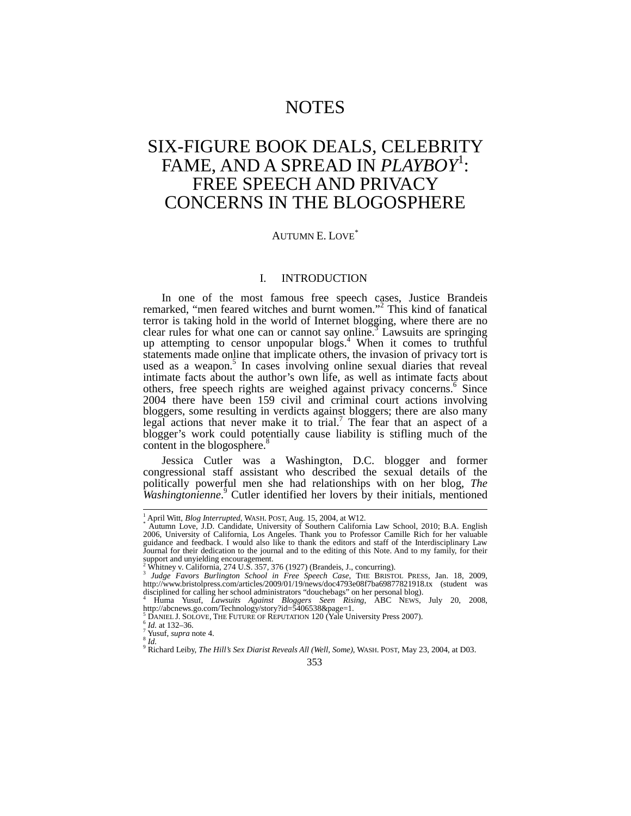# NOTES

# SIX-FIGURE BOOK DEALS, CELEBRITY FAME, AND A SPREAD IN *PLAYBOY*<sup>1</sup> : FREE SPEECH AND PRIVACY CONCERNS IN THE BLOGOSPHERE

# AUTUMN E. LOVE\*

# I. INTRODUCTION

In one of the most famous free speech cases, Justice Brandeis remarked, "men feared witches and burnt women."<sup>2</sup> This kind of fanatical terror is taking hold in the world of Internet blogging, where there are no clear rules for what one can or cannot say online.<sup>3</sup> Lawsuits are springing up attempting to censor unpopular blogs.<sup>4</sup> When it comes to truthful statements made online that implicate others, the invasion of privacy tort is used as a weapon.<sup>5</sup> In cases involving online sexual diaries that reveal intimate facts about the author's own life, as well as intimate facts about others, free speech rights are weighed against privacy concerns.<sup>6</sup> Since 2004 there have been 159 civil and criminal court actions involving bloggers, some resulting in verdicts against bloggers; there are also many legal actions that never make it to trial.<sup>7</sup> The fear that an aspect of a blogger's work could potentially cause liability is stifling much of the content in the blogosphere.<sup>8</sup>

Jessica Cutler was a Washington, D.C. blogger and former congressional staff assistant who described the sexual details of the politically powerful men she had relationships with on her blog, *The Washingtonienne*. <sup>9</sup> Cutler identified her lovers by their initials, mentioned

<sup>&</sup>lt;sup>1</sup> April Witt, *Blog Interrupted*, WASH. POST, Aug. 15, 2004, at W12.<br>\* Autumn Love, J.D. Candidate, University of Southern California Law School, 2010; B.A. English 2006, University of California, Los Angeles. Thank you to Professor Camille Rich for her valuable guidance and feedback. I would also like to thank the editors and staff of the Interdisciplinary Law Journal for their dedication to the journal and to the editing of this Note. And to my family, for their support and unyielding encouragement.

<sup>&</sup>lt;sup>2</sup> Whitney v. California, 274 U.S. 357, 376 (1927) (Brandeis, J., concurring).

<sup>&</sup>lt;sup>3</sup> Judge Favors Burlington School in Free Speech Case, THE BRISTOL PRESS, Jan. 18, 2009, http://www.bristolpress.com/articles/2009/01/19/news/doc4793e08f7ba69877821918.tx (student was disciplined for calling her school administrators "douchebags" on her personal blog). <sup>4</sup> Huma Yusuf, *Lawsuits Against Bloggers Seen Rising*, ABC NEWS, July 20, 2008,

http://abcnews.go.com/Technology/story?id=5406538&page=1.<br><sup>5</sup> DANIEL J. SOLOVE, THE FUTURE OF REPUTATION 120 (Yale University Press 2007).

<sup>&</sup>lt;sup>6</sup> Id. at 132–36.<br><sup>7</sup> Yusuf, *supra* note 4.<br><sup>8</sup> Id.<br><sup>8</sup> Richard Leiby, *The Hill's Sex Diarist Reveals All (Well, Some)*, WASH. POST, May 23, 2004, at D03.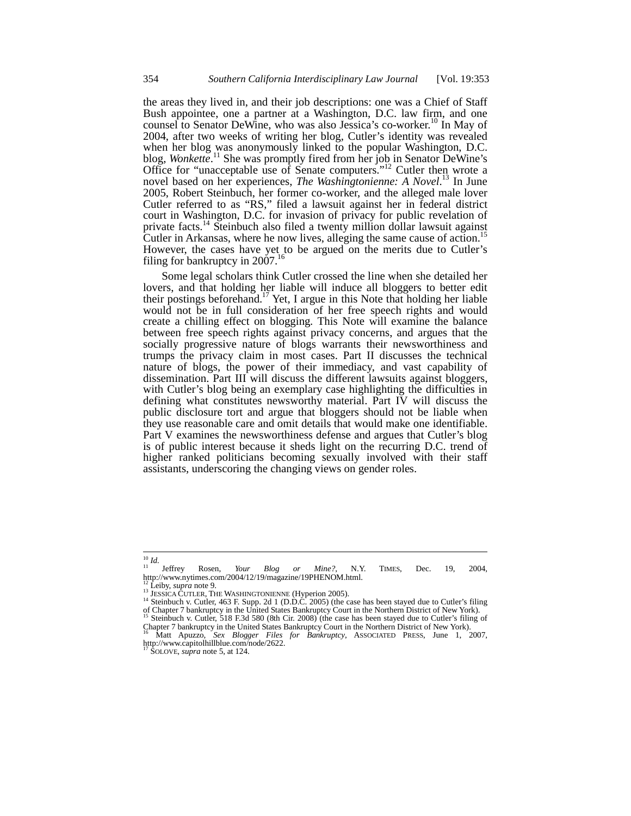the areas they lived in, and their job descriptions: one was a Chief of Staff Bush appointee, one a partner at a Washington, D.C. law firm, and one counsel to Senator DeWine, who was also Jessica's co-worker.<sup>10</sup> In May of 2004, after two weeks of writing her blog, Cutler's identity was revealed when her blog was anonymously linked to the popular Washington, D.C. blog, *Wonkette*.<sup>11</sup> She was promptly fired from her job in Senator DeWine's Office for "unacceptable use of Senate computers."<sup>12</sup> Cutler then wrote a novel based on her experiences, *The Washingtonienne: A Novel*. <sup>13</sup> In June 2005, Robert Steinbuch, her former co-worker, and the alleged male lover Cutler referred to as "RS," filed a lawsuit against her in federal district court in Washington, D.C. for invasion of privacy for public revelation of private facts.<sup>14</sup> Steinbuch also filed a twenty million dollar lawsuit against Cutler in Arkansas, where he now lives, alleging the same cause of action.<sup>15</sup> However, the cases have yet to be argued on the merits due to Cutler's filing for bankruptcy in  $2007$ .<sup>16</sup>

Some legal scholars think Cutler crossed the line when she detailed her lovers, and that holding her liable will induce all bloggers to better edit their postings beforehand.17 Yet, I argue in this Note that holding her liable would not be in full consideration of her free speech rights and would create a chilling effect on blogging. This Note will examine the balance between free speech rights against privacy concerns, and argues that the socially progressive nature of blogs warrants their newsworthiness and trumps the privacy claim in most cases. Part II discusses the technical nature of blogs, the power of their immediacy, and vast capability of dissemination. Part III will discuss the different lawsuits against bloggers, with Cutler's blog being an exemplary case highlighting the difficulties in defining what constitutes newsworthy material. Part IV will discuss the public disclosure tort and argue that bloggers should not be liable when they use reasonable care and omit details that would make one identifiable. Part V examines the newsworthiness defense and argues that Cutler's blog is of public interest because it sheds light on the recurring D.C. trend of higher ranked politicians becoming sexually involved with their staff assistants, underscoring the changing views on gender roles.

 $\frac{10}{11}$  *Id.* 

<sup>&</sup>lt;sup>10</sup> *Id.*<br><sup>11</sup> Jeffrey Rosen, *Your Blog or Mine?*, N.Y. TIMES, Dec. 19, 2004, http://www.nytimes.com/2004/12/19/magazine/19PHENOM.html.

<sup>&</sup>lt;sup>12</sup> Leiby, *supra* note 9.<br><sup>13</sup> JESSICA CUTLER, THE WASHINGTONIENNE (Hyperion 2005).<br><sup>14</sup> Steinbuch v. Cutler, 463 F. Supp. 2d 1 (D.D.C. 2005) (the case has been stayed due to Cutler's filing<br>of Chapter 7 bankruptcy in th <sup>15</sup> Steinbuch v. Cutler, 518 F.3d 580 (8th Cir. 2008) (the case has been stayed due to Cutler's filing of Chapter 7 bankruptcy in the United States Bankruptcy Court in the Northern District of New York). <sup>16</sup> Matt Apuzzo, *Sex Blogger Files for Bankruptcy*, ASSOCIATED PRESS, June 1, 2007,

http://www.capitolhillblue.com/node/2622.

<sup>17</sup> SOLOVE, *supra* note 5, at 124.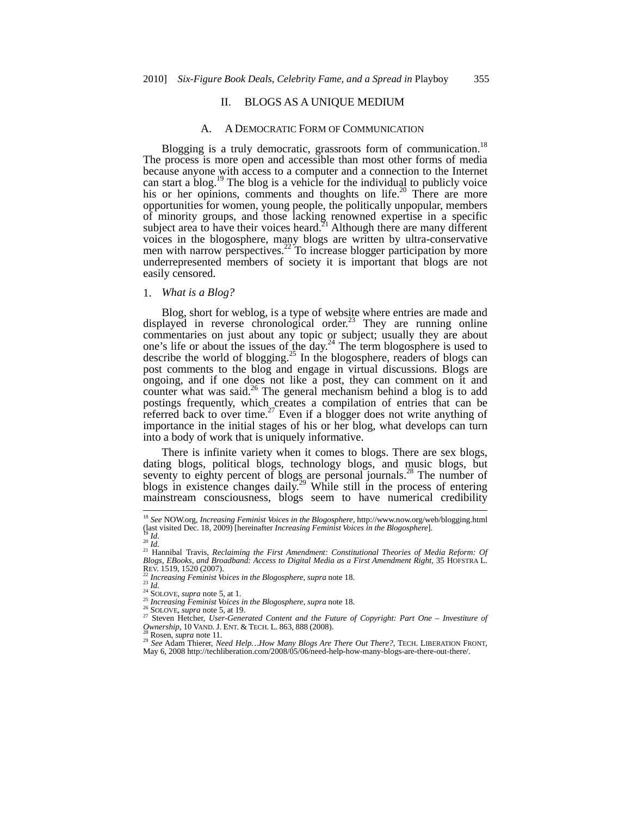#### II. BLOGS AS A UNIQUE MEDIUM

#### A. A DEMOCRATIC FORM OF COMMUNICATION

Blogging is a truly democratic, grassroots form of communication.<sup>18</sup> The process is more open and accessible than most other forms of media because anyone with access to a computer and a connection to the Internet can start a blog.<sup>19</sup> The blog is a vehicle for the individual to publicly voice his or her opinions, comments and thoughts on life.<sup>20</sup> There are more opportunities for women, young people, the politically unpopular, members of minority groups, and those lacking renowned expertise in a specific subject area to have their voices heard.<sup>21</sup> Although there are many different voices in the blogosphere, many blogs are written by ultra-conservative men with narrow perspectives.<sup>22</sup> To increase blogger participation by more underrepresented members of society it is important that blogs are not easily censored.

# 1. *What is a Blog?*

Blog, short for weblog, is a type of website where entries are made and displayed in reverse chronological order.<sup>23</sup> They are running online commentaries on just about any topic or subject; usually they are about one's life or about the issues of the day. $^{24}$  The term blogosphere is used to describe the world of blogging.<sup>25</sup> In the blogosphere, readers of blogs can post comments to the blog and engage in virtual discussions. Blogs are ongoing, and if one does not like a post, they can comment on it and counter what was said.<sup>26</sup> The general mechanism behind a blog is to add postings frequently, which creates a compilation of entries that can be referred back to over time.<sup>27</sup> Even if a blogger does not write anything of importance in the initial stages of his or her blog, what develops can turn into a body of work that is uniquely informative.

There is infinite variety when it comes to blogs. There are sex blogs, dating blogs, political blogs, technology blogs, and music blogs, but seventy to eighty percent of blogs are personal journals.<sup>28</sup> The number of blogs in existence changes daily.<sup>29</sup> While still in the process of entering mainstream consciousness, blogs seem to have numerical credibility

<sup>18</sup> *See* NOW.org, *Increasing Feminist Voices in the Blogosphere*, http://www.now.org/web/blogging.html

<sup>(</sup>last visited Dec. 18, 2009) [hereinafter *Increasing Feminist Voices in the Blogosphere*].<br><sup>20</sup> Id.<br><sup>20</sup> Id.<br><sup>21</sup> Hannibal Travis, *Reclaiming the First Amendment: Constitutional Theories of Media Reform: Of<br>Blogs, EBooks* 

REV. 1519, 1520 (2007).<br>
<sup>22</sup> Increasing Feminist Voices in the Blogosphere, supra note 18.<br>
<sup>24</sup> ISOLOVE, supra note 5, at 1.<br>
<sup>25</sup> Increasing Feminist Voices in the Blogosphere, supra note 18.<br>
<sup>25</sup> Increasing Feminist

<sup>&</sup>lt;sup>28</sup> Rosen, *supra* note 11.<br><sup>29</sup> *See* Adam Thierer, *Need Help…How Many Blogs Are There Out There?*, TECH. LIBERATION FRONT, May 6, 2008 http://techliberation.com/2008/05/06/need-help-how-many-blogs-are-there-out-there/.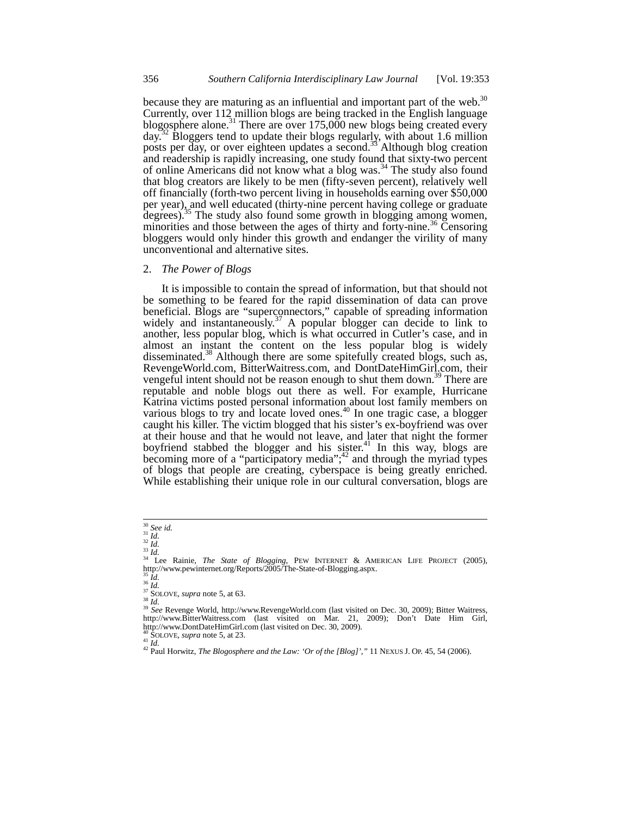because they are maturing as an influential and important part of the web.<sup>30</sup> Currently, over 112 million blogs are being tracked in the English language blogosphere alone.<sup>31</sup> There are over 175,000 new blogs being created every day.32 Bloggers tend to update their blogs regularly, with about 1.6 million posts per day, or over eighteen updates a second.<sup>33</sup> Although blog creation and readership is rapidly increasing, one study found that sixty-two percent of online Americans did not know what a blog was.<sup>34</sup> The study also found that blog creators are likely to be men (fifty-seven percent), relatively well off financially (forth-two percent living in households earning over \$50,000 per year), and well educated (thirty-nine percent having college or graduate degrees).<sup>35</sup> The study also found some growth in blogging among women, minorities and those between the ages of thirty and forty-nine.<sup>36</sup> Censoring bloggers would only hinder this growth and endanger the virility of many unconventional and alternative sites.

#### 2. *The Power of Blogs*

It is impossible to contain the spread of information, but that should not be something to be feared for the rapid dissemination of data can prove beneficial. Blogs are "superconnectors," capable of spreading information widely and instantaneously.<sup>37</sup> A popular blogger can decide to link to another, less popular blog, which is what occurred in Cutler's case, and in almost an instant the content on the less popular blog is widely disseminated.<sup>38</sup> Although there are some spitefully created blogs, such as, RevengeWorld.com, BitterWaitress.com, and DontDateHimGirl.com, their vengeful intent should not be reason enough to shut them down.<sup>39</sup> There are reputable and noble blogs out there as well. For example, Hurricane Katrina victims posted personal information about lost family members on various blogs to try and locate loved ones.<sup>40</sup> In one tragic case, a blogger caught his killer. The victim blogged that his sister's ex-boyfriend was over at their house and that he would not leave, and later that night the former boyfriend stabbed the blogger and his sister.<sup>41</sup> In this way, blogs are becoming more of a "participatory media"; $^{42}$  and through the myriad types of blogs that people are creating, cyberspace is being greatly enriched. While establishing their unique role in our cultural conversation, blogs are

 $30$  See id.

See *id.*<br>
31 *Id.*<br>
32 *Id.*<br>
<sup>33</sup> *Id.*<br>
<sup>34</sup> Lee Rainie, *The State of Blogging*, PEW INTERNET & AMERICAN LIFE PROJECT (2005), http://www.pewinternet.org/Reports/2005/The-State-of-Blogging.aspx.<br>  $^{35}$  *Id.*<br>  $^{36}$  *Id.* 

<sup>&</sup>lt;sup>35</sup> *Id.* <sup>35</sup> *Id.* 38 *Id.* 38 *Id.* 37 SOLOVE, *supra* note 5, at 63. 38 *Id.* 37 SOLOVE, *supra* note 5, at 63. 38 *Id.* 39 *See* Revenge World, http://www.RevengeWorld.com (last visited on Dec. 30, 2009); Bitter Wait http://www.BitterWaitress.com (last visited on Mar. 21, 2009); Don't Date Him Girl, http://www.DontDateHimGirl.com (last visited on Dec. 30, 2009).<br><sup>40</sup> SOLOVE, *supra* note 5, at 23.

<sup>41</sup> *Id.*<br><sup>41</sup> *Id.* 22 Paul Horwitz, *The Blogosphere and the Law: 'Or of the [Blog]'*," 11 NEXUS J. OP. 45, 54 (2006).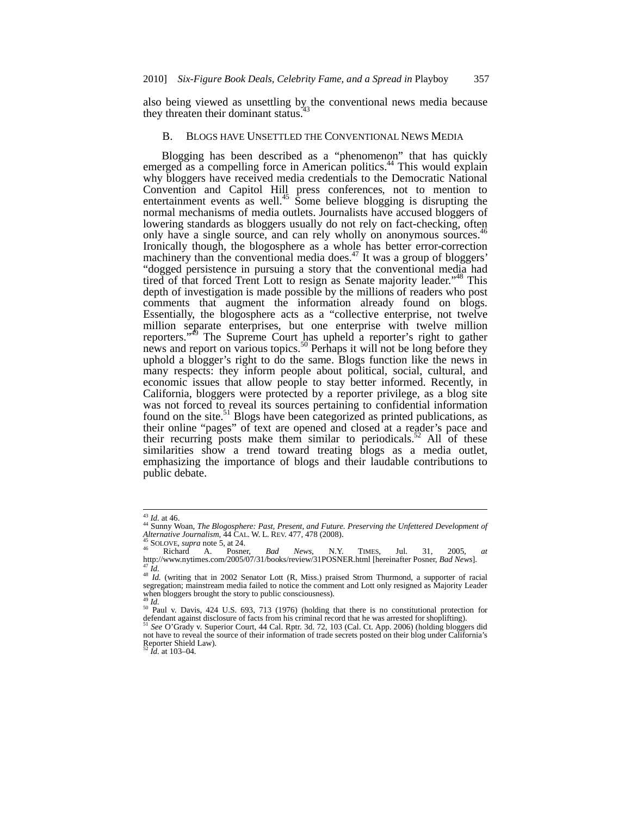also being viewed as unsettling by the conventional news media because they threaten their dominant status.<sup>4</sup>

### B. BLOGS HAVE UNSETTLED THE CONVENTIONAL NEWS MEDIA

Blogging has been described as a "phenomenon" that has quickly emerged as a compelling force in American politics.<sup>44</sup> This would explain why bloggers have received media credentials to the Democratic National Convention and Capitol Hill press conferences, not to mention to entertainment events as well.<sup>45</sup> Some believe blogging is disrupting the normal mechanisms of media outlets. Journalists have accused bloggers of lowering standards as bloggers usually do not rely on fact-checking, often only have a single source, and can rely wholly on anonymous sources.<sup>46</sup> Ironically though, the blogosphere as a whole has better error-correction machinery than the conventional media does.<sup> $47$ </sup> It was a group of bloggers' "dogged persistence in pursuing a story that the conventional media had tired of that forced Trent Lott to resign as Senate majority leader."<sup>48</sup> This depth of investigation is made possible by the millions of readers who post comments that augment the information already found on blogs. Essentially, the blogosphere acts as a "collective enterprise, not twelve million separate enterprises, but one enterprise with twelve million reporters."49 The Supreme Court has upheld a reporter's right to gather news and report on various topics.<sup>50</sup> Perhaps it will not be long before they uphold a blogger's right to do the same. Blogs function like the news in many respects: they inform people about political, social, cultural, and economic issues that allow people to stay better informed. Recently, in California, bloggers were protected by a reporter privilege, as a blog site was not forced to reveal its sources pertaining to confidential information found on the site.<sup>51</sup> Blogs have been categorized as printed publications, as their online "pages" of text are opened and closed at a reader's pace and their recurring posts make them similar to periodicals.<sup>52</sup> All of these similarities show a trend toward treating blogs as a media outlet, emphasizing the importance of blogs and their laudable contributions to public debate.

 $^{\rm 43}$  Id. at 46.

<sup>&</sup>lt;sup>44</sup> Sunny Woan, *The Blogosphere: Past, Present, and Future. Preserving the Unfettered Development of Alternative Journalism, <sup>44</sup> CAL. W. L. REV. 477, 478 (2008).* 

Alternative Journalism,  $\frac{34}{4}$  CAL. W. L. REV. 477, 478 (2008).<br>
<sup>45</sup> SOLOVE, *supra* note 5, at 24.<br>
<sup>46</sup> Richard A. Posner, *Bad News*, N.Y. TIMES, Jul. 31, 2005, *at*<br>  $\frac{47}{10}$ .//www.nytimes.com/2005/07/31/books

when bloggers brought the story to public consciousness).

<sup>&</sup>lt;sup>49</sup> *Id.* <sup>50</sup> Paul v. Davis, 424 U.S. 693, 713 (1976) (holding that there is no constitutional protection for defendant against disclosure of facts from his criminal record that he was arrested for shoplifting).

<sup>51</sup> *See* O'Grady v. Superior Court, 44 Cal. Rptr. 3d. 72, 103 (Cal. Ct. App. 2006) (holding bloggers did not have to reveal the source of their information of trade secrets posted on their blog under California's Reporter Shield Law). <sup>52</sup> *Id.* at 103–04.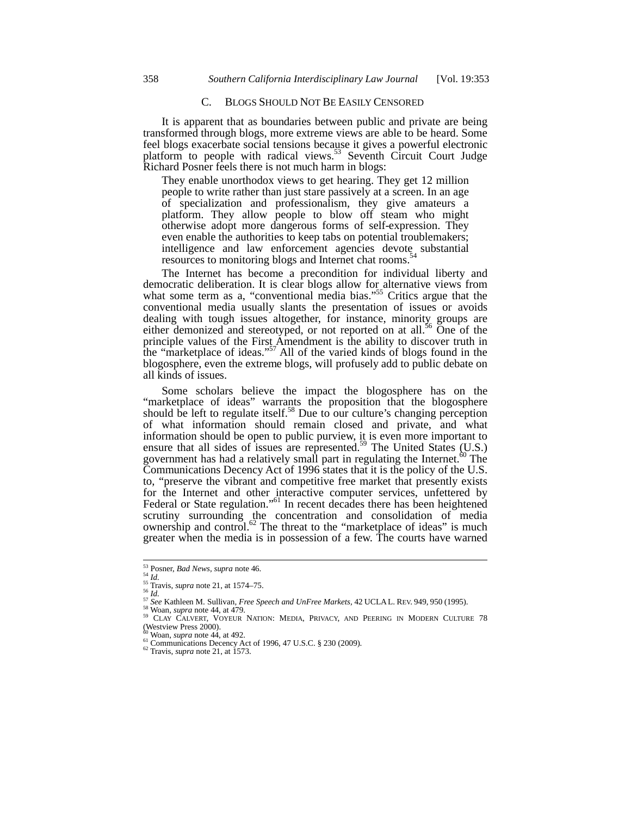## C. BLOGS SHOULD NOT BE EASILY CENSORED

It is apparent that as boundaries between public and private are being transformed through blogs, more extreme views are able to be heard. Some feel blogs exacerbate social tensions because it gives a powerful electronic platform to people with radical views.<sup>53</sup> Seventh Circuit Court Judge Richard Posner feels there is not much harm in blogs:

They enable unorthodox views to get hearing. They get 12 million people to write rather than just stare passively at a screen. In an age of specialization and professionalism, they give amateurs a platform. They allow people to blow off steam who might otherwise adopt more dangerous forms of self-expression. They even enable the authorities to keep tabs on potential troublemakers; intelligence and law enforcement agencies devote substantial resources to monitoring blogs and Internet chat rooms.<sup>5</sup>

The Internet has become a precondition for individual liberty and democratic deliberation. It is clear blogs allow for alternative views from what some term as a, "conventional media bias."<sup>55</sup> Critics argue that the conventional media usually slants the presentation of issues or avoids dealing with tough issues altogether, for instance, minority groups are either demonized and stereotyped, or not reported on at all.<sup>56</sup> One of the principle values of the First Amendment is the ability to discover truth in the "marketplace of ideas."<sup>57</sup> All of the varied kinds of blogs found in the blogosphere, even the extreme blogs, will profusely add to public debate on all kinds of issues.

Some scholars believe the impact the blogosphere has on the "marketplace of ideas" warrants the proposition that the blogosphere should be left to regulate itself.<sup>58</sup> Due to our culture's changing perception of what information should remain closed and private, and what information should be open to public purview, it is even more important to ensure that all sides of issues are represented.<sup>59</sup> The United States (U.S.) government has had a relatively small part in regulating the Internet. $60$  The Communications Decency Act of 1996 states that it is the policy of the U.S. to, "preserve the vibrant and competitive free market that presently exists for the Internet and other interactive computer services, unfettered by Federal or State regulation."<sup>61</sup> In recent decades there has been heightened scrutiny surrounding the concentration and consolidation of media ownership and control.<sup>62</sup> The threat to the "marketplace of ideas" is much greater when the media is in possession of a few. The courts have warned

<sup>&</sup>lt;sup>53</sup> Posner, *Bad News*, *supra* note 46.

<sup>&</sup>lt;sup>53</sup> Posner, *Bad News, supra* note 46.<br><sup>54</sup> *Id.*<br><sup>65</sup> Travis, *supra* note 21, at 1574–75.<br><sup>56</sup> *Id.*<br><sup>57</sup> See Kathleen M. Sullivan, *Free Speech and UnFree Markets*, 42 UCLAL. REV. 949, 950 (1995).<br><sup>57</sup> See Kathleen M.

<sup>(</sup>Westview Press 2000). Westview Press 2000).<br><sup>60</sup> Woan, *supra* note 44, at 492.<br><sup>61</sup> Communications Decency Act of 1996, 47 U.S.C. § 230 (2009).<br><sup>62</sup> Travis, *supra* note 21, at 1573.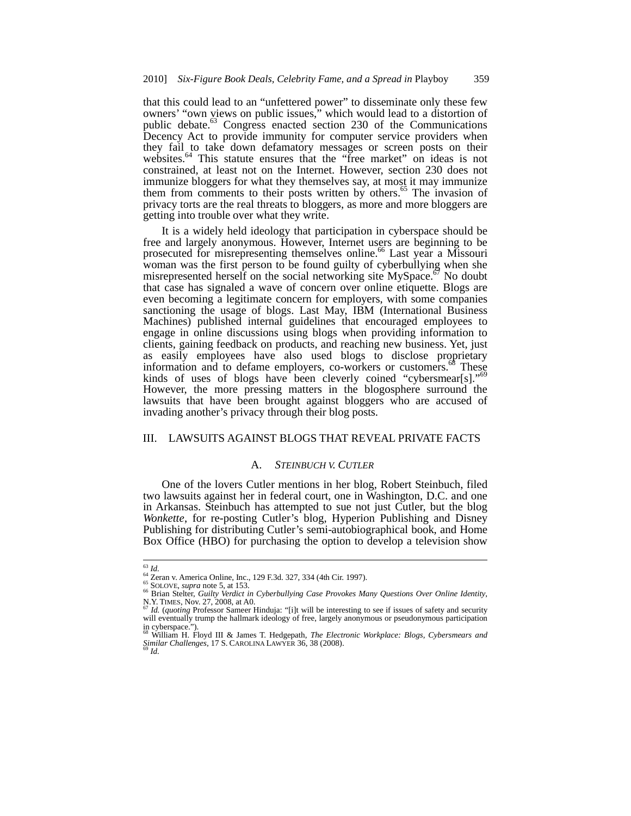that this could lead to an "unfettered power" to disseminate only these few owners' "own views on public issues," which would lead to a distortion of public debate.<sup>63</sup> Congress enacted section 230 of the Communications Decency Act to provide immunity for computer service providers when they fail to take down defamatory messages or screen posts on their websites.<sup>64</sup> This statute ensures that the "free market" on ideas is not constrained, at least not on the Internet. However, section 230 does not immunize bloggers for what they themselves say, at most it may immunize them from comments to their posts written by others.<sup>65</sup> The invasion of privacy torts are the real threats to bloggers, as more and more bloggers are getting into trouble over what they write.

It is a widely held ideology that participation in cyberspace should be free and largely anonymous. However, Internet users are beginning to be prosecuted for misrepresenting themselves online.<sup>66</sup> Last year a Missouri woman was the first person to be found guilty of cyberbullying when she misrepresented herself on the social networking site  $MySpace$ .<sup>67</sup> No doubt that case has signaled a wave of concern over online etiquette. Blogs are even becoming a legitimate concern for employers, with some companies sanctioning the usage of blogs. Last May, IBM (International Business Machines) published internal guidelines that encouraged employees to engage in online discussions using blogs when providing information to clients, gaining feedback on products, and reaching new business. Yet, just as easily employees have also used blogs to disclose proprietary information and to defame employers, co-workers or customers.<sup>68</sup> These kinds of uses of blogs have been cleverly coined "cybersmear[s]."<sup>69</sup> However, the more pressing matters in the blogosphere surround the lawsuits that have been brought against bloggers who are accused of invading another's privacy through their blog posts.

# III. LAWSUITS AGAINST BLOGS THAT REVEAL PRIVATE FACTS

### A. *STEINBUCH V. CUTLER*

One of the lovers Cutler mentions in her blog, Robert Steinbuch, filed two lawsuits against her in federal court, one in Washington, D.C. and one in Arkansas. Steinbuch has attempted to sue not just Cutler, but the blog *Wonkette*, for re-posting Cutler's blog, Hyperion Publishing and Disney Publishing for distributing Cutler's semi-autobiographical book, and Home Box Office (HBO) for purchasing the option to develop a television show

l

<sup>&</sup>lt;sup>63</sup> Id.<br><sup>64</sup> Zeran v. America Online, Inc., 129 F.3d. 327, 334 (4th Cir. 1997).<br><sup>65</sup> SOLOVE, *supra* note 5, at 153.<br><sup>66</sup> Brian Stelter, *Guilty Verdict in Cyberbullying Case Provokes Many Questions Over Online Identity*, <sup>66</sup> Brian Stelter, *Guilty Verdict in Cyberbullying Case Provokes Many Questions Over Online Identity*, N.Y. TIMES, Nov. 27, 2008, at A0. 67 *Id.* (*quoting* Professor Sameer Hinduja: "[i]t will be interesting to see if i

will eventually trump the hallmark ideology of free, largely anonymous or pseudonymous participation

in cyberspace."). <sup>68</sup> William H. Floyd III & James T. Hedgepath, *The Electronic Workplace: Blogs, Cybersmears and Similar Challenges*, 17 S. CAROLINA LAWYER 36, 38 (2008). <sup>69</sup> *Id.*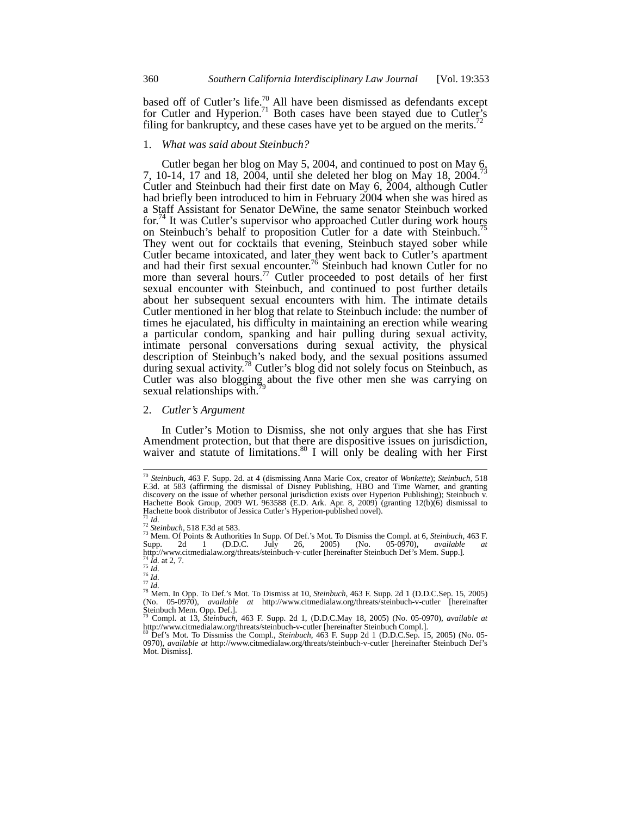based off of Cutler's life.<sup>70</sup> All have been dismissed as defendants except for Cutler and Hyperion.<sup>71</sup> Both cases have been stayed due to Cutler's filing for bankruptcy, and these cases have yet to be argued on the merits.<sup>72</sup>

#### 1. *What was said about Steinbuch?*

Cutler began her blog on May 5, 2004, and continued to post on May 6, 7, 10-14, 17 and 18, 2004, until she deleted her blog on May 18, 2004. Cutler and Steinbuch had their first date on May 6, 2004, although Cutler had briefly been introduced to him in February 2004 when she was hired as a Staff Assistant for Senator DeWine, the same senator Steinbuch worked for.<sup>74</sup> It was Cutler's supervisor who approached Cutler during work hours on Steinbuch's behalf to proposition Cutler for a date with Steinbuch.<sup>75</sup> They went out for cocktails that evening, Steinbuch stayed sober while Cutler became intoxicated, and later they went back to Cutler's apartment and had their first sexual encounter.<sup>76</sup> Steinbuch had known Cutler for no more than several hours.<sup>77</sup> Cutler proceeded to post details of her first sexual encounter with Steinbuch, and continued to post further details about her subsequent sexual encounters with him. The intimate details Cutler mentioned in her blog that relate to Steinbuch include: the number of times he ejaculated, his difficulty in maintaining an erection while wearing a particular condom, spanking and hair pulling during sexual activity, intimate personal conversations during sexual activity, the physical description of Steinbuch's naked body, and the sexual positions assumed during sexual activity.<sup>78</sup> Cutler's blog did not solely focus on Steinbuch, as Cutler was also blogging about the five other men she was carrying on sexual relationships with.

#### 2. *Cutler's Argument*

In Cutler's Motion to Dismiss, she not only argues that she has First Amendment protection, but that there are dispositive issues on jurisdiction, waiver and statute of limitations.<sup>80</sup> I will only be dealing with her First

<sup>70</sup> *Steinbuch,* 463 F. Supp. 2d. at 4 (dismissing Anna Marie Cox, creator of *Wonkette*); *Steinbuch,* 518 F.3d. at 583 (affirming the dismissal of Disney Publishing, HBO and Time Warner, and granting discovery on the issue of whether personal jurisdiction exists over Hyperion Publishing); Steinbuch v. Hachette Book Group*,* 2009 WL 963588 (E.D. Ark. Apr. 8, 2009) (granting 12(b)(6) dismissal to Hachette book distributor of Jessica Cutler's Hyperion-published novel).<br><sup>71</sup> Id.<br><sup>72</sup> Steinbuch, 518 F.3d at 583.<br><sup>73</sup> Mem. Of Points & Authorities In Supp. Of Def.'s Mot. To Dismiss the Compl. at 6, Steinbuch, 463 F.

Supp. 2d 1 (D.D.C. July 26, 2005) (No. 05-0970), *available at* http://www.citmedialaw.org/threats/steinbuch-v-cutler [hereinafter Steinbuch Def's Mem. Supp.].<br><sup>74</sup> *Id.* at 2, 7.

<sup>75</sup> *Id.*<br>
76 *Id.*<br>
76 *Id.*<br>
77 *Id.*<br>
78 Mem. In Opp. To Def.'s Mot. To Dismiss at 10, *Steinbuch*, 463 F. Supp. 2d 1 (D.D.C.Sep. 15, 2005) (No. 05-0970), *available at* http://www.citmedialaw.org/threats/steinbuch-v-cutler [hereinafter Steinbuch Mem. Opp. Def.].

<sup>79</sup> Compl. at 13, *Steinbuch*, 463 F. Supp. 2d 1, (D.D.C.May 18, 2005) (No. 05-0970), *available at* http://www.citmedialaw.org/threats/steinbuch-v-cutler [hereinafter Steinbuch Compl.]. <sup>80</sup> Def's Mot. To Dissmiss the Compl., *Steinbuch*, 463 F. Supp 2d 1 (D.D.C.Sep. 15, 2005) (No. 05-

<sup>0970),</sup> *available at* http://www.citmedialaw.org/threats/steinbuch-v-cutler [hereinafter Steinbuch Def's Mot. Dismiss].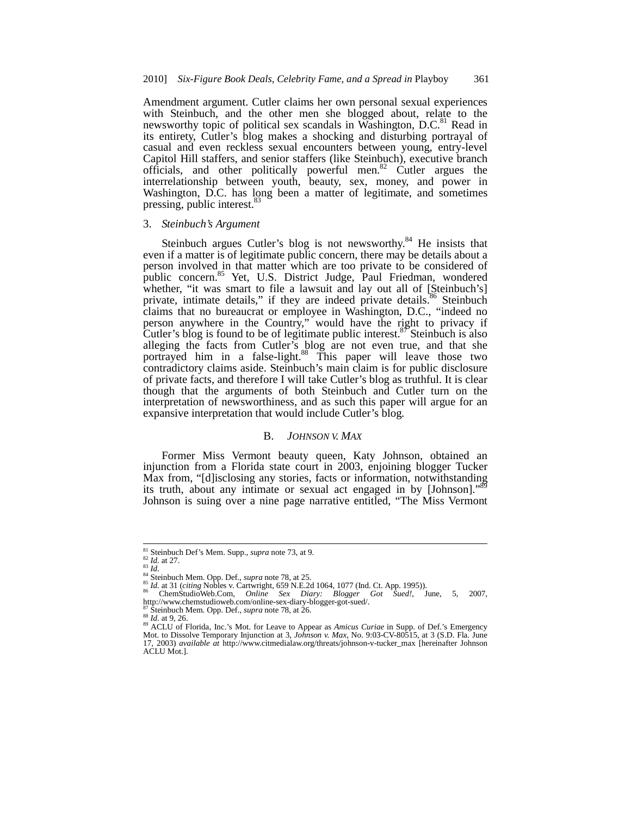Amendment argument. Cutler claims her own personal sexual experiences with Steinbuch, and the other men she blogged about, relate to the newsworthy topic of political sex scandals in Washington,  $D.C.<sup>81</sup>$  Read in its entirety, Cutler's blog makes a shocking and disturbing portrayal of casual and even reckless sexual encounters between young, entry-level Capitol Hill staffers, and senior staffers (like Steinbuch), executive branch officials, and other politically powerful men. $82$  Cutler argues the interrelationship between youth, beauty, sex, money, and power in Washington, D.C. has long been a matter of legitimate, and sometimes pressing, public interest.<sup>83</sup>

#### 3. *Steinbuch's Argument*

Steinbuch argues Cutler's blog is not newsworthy.<sup>84</sup> He insists that even if a matter is of legitimate public concern, there may be details about a person involved in that matter which are too private to be considered of public concern.<sup>85</sup> Yet, U.S. District Judge, Paul Friedman, wondered whether, "it was smart to file a lawsuit and lay out all of [Steinbuch's] private, intimate details," if they are indeed private details.<sup>86</sup> Steinbuch claims that no bureaucrat or employee in Washington, D.C., "indeed no person anywhere in the Country," would have the right to privacy if Cutler's blog is found to be of legitimate public interest.<sup>87</sup> Steinbuch is also alleging the facts from Cutler's blog are not even true, and that she portrayed him in a false-light.<sup>88</sup> This paper will leave those two contradictory claims aside. Steinbuch's main claim is for public disclosure of private facts, and therefore I will take Cutler's blog as truthful. It is clear though that the arguments of both Steinbuch and Cutler turn on the interpretation of newsworthiness, and as such this paper will argue for an expansive interpretation that would include Cutler's blog.

# B. *JOHNSON V. MAX*

Former Miss Vermont beauty queen, Katy Johnson, obtained an injunction from a Florida state court in 2003, enjoining blogger Tucker Max from, "[d]isclosing any stories, facts or information, notwithstanding its truth, about any intimate or sexual act engaged in by [Johnson].' Johnson is suing over a nine page narrative entitled, "The Miss Vermont

<sup>&</sup>lt;sup>81</sup> Steinbuch Def's Mem. Supp., *supra* note 73, at 9.<br>
<sup>82</sup> Id. at 27.<br>
<sup>83</sup> Id.

<sup>&</sup>lt;sup>84</sup> Steinbuch Mem. Opp. Def., *supra* note 78, at 25.<br>
<sup>85</sup> Id. at 31 (citing Nobles v. Cartwright, 659 N.E.2d 1064, 1077 (Ind. Ct. App. 1995)).<br>
2011 1111 - Sax Diary: Blogger Got Sued!,

so Chem Studio Web.Com, *Online*, Sex Diary: Blogger Got Sued!, June, 5, 2007,<br>http://www.chemstudioweb.com/online-sex-diary-blogger-got-sued/.<br><sup>87</sup> Steinbuch Mem. Opp. Def., *supra* note 78, at 26.

<sup>&</sup>lt;sup>87</sup> Steinbuch Mem. Opp. Def., *supra* note 78, at 26.<br><sup>88</sup> Id. at 9, 26.<br><sup>89</sup> ACLU of Florida, Inc.'s Mot. for Leave to Appear as *Amicus Curiae* in Supp. of Def.'s Emergency<br>Mot. to Dissolve Temporary Injunction at 3, *J* 17, 2003) *available at* http://www.citmedialaw.org/threats/johnson-v-tucker\_max [hereinafter Johnson ACLU Mot.].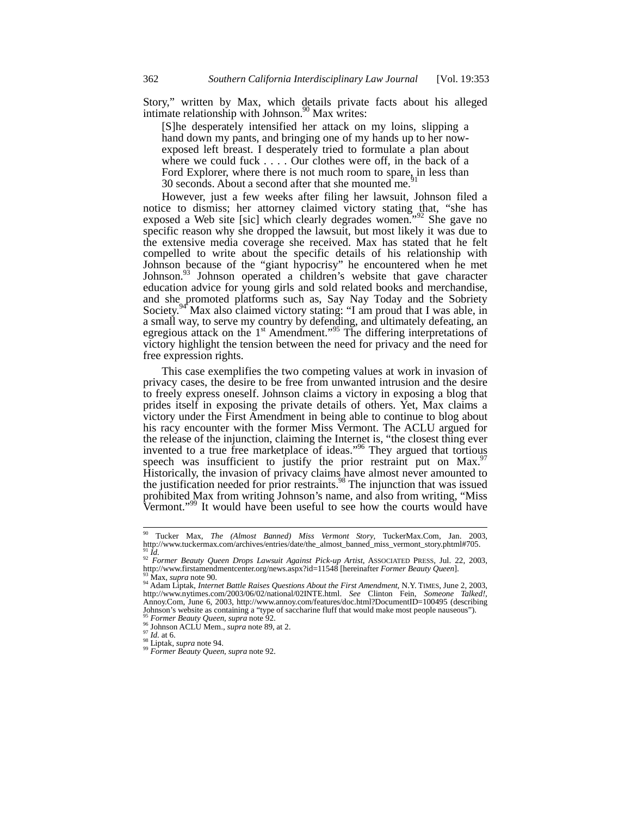Story," written by Max, which details private facts about his alleged intimate relationship with Johnson.<sup>90</sup> Max writes:

[S]he desperately intensified her attack on my loins, slipping a hand down my pants, and bringing one of my hands up to her nowexposed left breast. I desperately tried to formulate a plan about where we could fuck  $\ldots$ . Our clothes were off, in the back of a Ford Explorer, where there is not much room to spare, in less than 30 seconds. About a second after that she mounted me.

However, just a few weeks after filing her lawsuit, Johnson filed a notice to dismiss; her attorney claimed victory stating that, "she has exposed a Web site [sic] which clearly degrades women."<sup>92</sup> She gave no specific reason why she dropped the lawsuit, but most likely it was due to the extensive media coverage she received. Max has stated that he felt compelled to write about the specific details of his relationship with Johnson because of the "giant hypocrisy" he encountered when he met Johnson.<sup>93</sup> Johnson operated a children's website that gave character education advice for young girls and sold related books and merchandise, and she promoted platforms such as, Say Nay Today and the Sobriety Society.<sup>94</sup> Max also claimed victory stating: "I am proud that I was able, in a small way, to serve my country by defending, and ultimately defeating, an egregious attack on the  $1<sup>st</sup>$  Amendment."<sup>95</sup> The differing interpretations of victory highlight the tension between the need for privacy and the need for free expression rights.

This case exemplifies the two competing values at work in invasion of privacy cases, the desire to be free from unwanted intrusion and the desire to freely express oneself. Johnson claims a victory in exposing a blog that prides itself in exposing the private details of others. Yet, Max claims a victory under the First Amendment in being able to continue to blog about his racy encounter with the former Miss Vermont. The ACLU argued for the release of the injunction, claiming the Internet is, "the closest thing ever invented to a true free marketplace of ideas."<sup>96</sup> They argued that tortious speech was insufficient to justify the prior restraint put on Max.<sup>97</sup> Historically, the invasion of privacy claims have almost never amounted to the justification needed for prior restraints.<sup>98</sup> The injunction that was issued prohibited Max from writing Johnson's name, and also from writing, "Miss Vermont."<sup>99</sup> It would have been useful to see how the courts would have

<sup>90</sup> Tucker Max, *The (Almost Banned) Miss Vermont Story*, TuckerMax.Com, Jan. 2003, http://www.tuckermax.com/archives/entries/date/the\_almost\_banned\_miss\_vermont\_story.phtml#705.<br>
91 Fd

<sup>&</sup>lt;sup>91</sup> *Id. P2 Former Beauty Queen Drops Lawsuit Against Pick-up Artist*, ASSOCIATED PRESS, Jul. 22, 2003, http://www.firstamendmentcenter.org/news.aspx?id=11548 [hereinafter *Former Beauty Queen*].

<sup>35</sup> Max, supra note 90.<br><sup>93</sup> Max, supra note 90.<br><sup>94</sup> Adam Liptak, *Internet Battle Raises Questions About the First Amendment*, N.Y. TIMES, June 2, 2003, http://www.nytimes.com/2003/06/02/national/02INTE.html. *See* Clinton Fein, *Someone Talked!*, Annoy.Com, June 6, 2003, http://www.annoy.com/features/doc.html?DocumentID=100495 (describing Johnson's website as containing a "type of saccharine fluff that would make most people nauseous").<br>
Former Beauty Queen, supra note 92.

<sup>95</sup> *Former Beauty Queen*, *supra* note 92. <sup>96</sup> Johnson ACLU Mem., *supra* note 89, at 2. <sup>97</sup> *Id.* at 6. <sup>98</sup> Liptak, *supra* note 94. <sup>99</sup> *Former Beauty Queen*, *supra* note 92.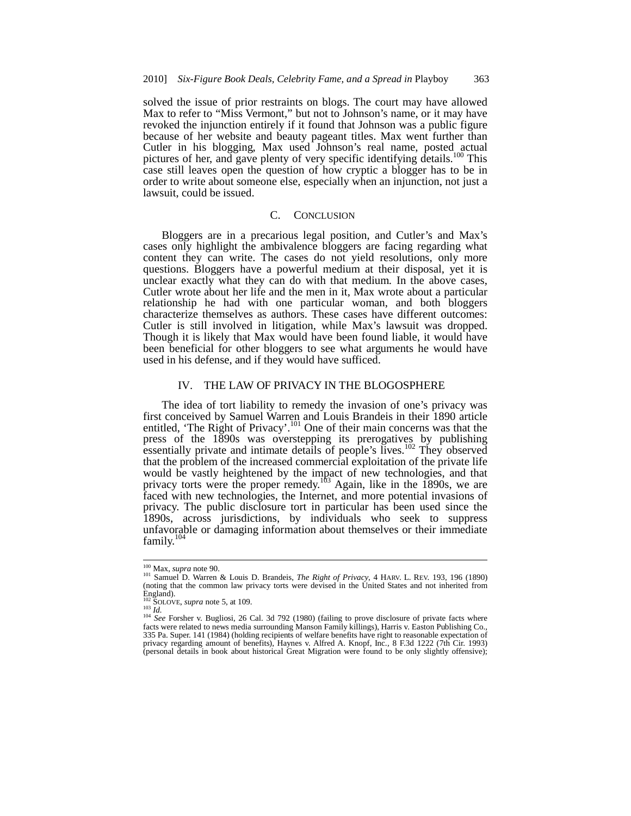solved the issue of prior restraints on blogs. The court may have allowed Max to refer to "Miss Vermont," but not to Johnson's name, or it may have revoked the injunction entirely if it found that Johnson was a public figure because of her website and beauty pageant titles. Max went further than Cutler in his blogging, Max used Johnson's real name, posted actual pictures of her, and gave plenty of very specific identifying details.<sup>100</sup> This case still leaves open the question of how cryptic a blogger has to be in order to write about someone else, especially when an injunction, not just a lawsuit, could be issued.

# C. CONCLUSION

Bloggers are in a precarious legal position, and Cutler's and Max's cases only highlight the ambivalence bloggers are facing regarding what content they can write. The cases do not yield resolutions, only more questions. Bloggers have a powerful medium at their disposal, yet it is unclear exactly what they can do with that medium. In the above cases, Cutler wrote about her life and the men in it, Max wrote about a particular relationship he had with one particular woman, and both bloggers characterize themselves as authors. These cases have different outcomes: Cutler is still involved in litigation, while Max's lawsuit was dropped. Though it is likely that Max would have been found liable, it would have been beneficial for other bloggers to see what arguments he would have used in his defense, and if they would have sufficed.

## IV. THE LAW OF PRIVACY IN THE BLOGOSPHERE

The idea of tort liability to remedy the invasion of one's privacy was first conceived by Samuel Warren and Louis Brandeis in their 1890 article entitled, 'The Right of Privacy'.<sup>101</sup> One of their main concerns was that the press of the 1890s was overstepping its prerogatives by publishing essentially private and intimate details of people's lives.<sup>102</sup> They observed that the problem of the increased commercial exploitation of the private life would be vastly heightened by the impact of new technologies, and that privacy torts were the proper remedy.<sup>103</sup> Again, like in the 1890s, we are faced with new technologies, the Internet, and more potential invasions of privacy. The public disclosure tort in particular has been used since the 1890s, across jurisdictions, by individuals who seek to suppress unfavorable or damaging information about themselves or their immediate family.<sup>104</sup>

<sup>&</sup>lt;sup>100</sup> Max, *supra* note 90.

<sup>&</sup>lt;sup>100</sup> Max, *supra* note 90.<br><sup>101</sup> Samuel D. Warren & Louis D. Brandeis, *The Right of Privacy*, 4 HARV. L. REV. 193, 196 (1890)<br>(noting that the common law privacy torts were devised in the United States and not inherited England).

<sup>&</sup>lt;sup>102</sup> SOLOVE, *supra* note 5, at 109.<br><sup>103</sup> *Id.* <sup>103</sup> *Id.* <sup>104</sup> *See* Forsher v. Bugliosi, 26 Cal. 3d 792 (1980) (failing to prove disclosure of private facts where facts were related to news media surrounding Manson Family killings), Harris v. Easton Publishing Co.*,* 335 Pa. Super. 141 (1984) (holding recipients of welfare benefits have right to reasonable expectation of privacy regarding amount of benefits), Haynes v. Alfred A. Knopf, Inc.*,* 8 F.3d 1222 (7th Cir. 1993) (personal details in book about historical Great Migration were found to be only slightly offensive);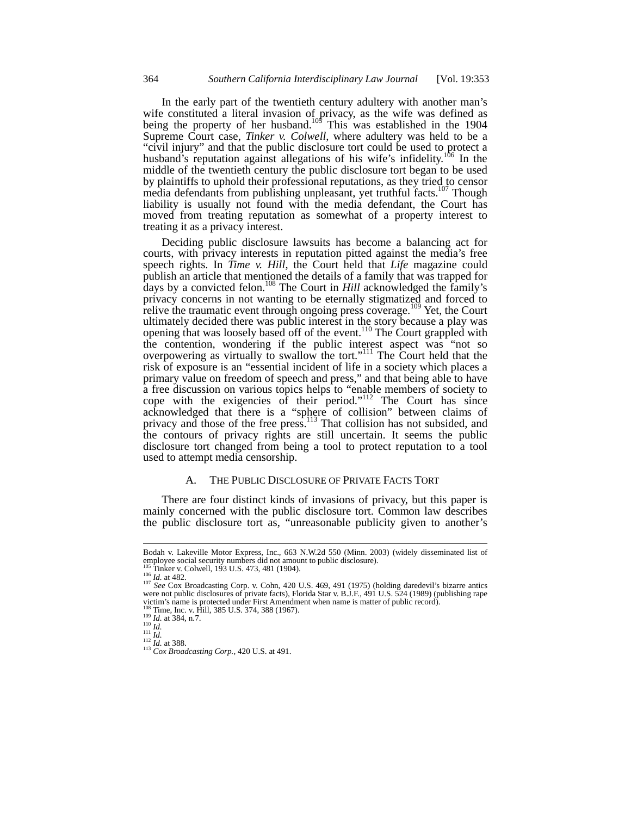In the early part of the twentieth century adultery with another man's wife constituted a literal invasion of privacy, as the wife was defined as being the property of her husband.<sup>105</sup> This was established in the 1904 Supreme Court case, *Tinker v. Colwell*, where adultery was held to be a "civil injury" and that the public disclosure tort could be used to protect a husband's reputation against allegations of his wife's infidelity.<sup>106</sup> In the middle of the twentieth century the public disclosure tort began to be used by plaintiffs to uphold their professional reputations, as they tried to censor media defendants from publishing unpleasant, yet truthful facts.<sup>107</sup> Though liability is usually not found with the media defendant, the Court has moved from treating reputation as somewhat of a property interest to treating it as a privacy interest.

Deciding public disclosure lawsuits has become a balancing act for courts, with privacy interests in reputation pitted against the media's free speech rights. In *Time v. Hill*, the Court held that *Life* magazine could publish an article that mentioned the details of a family that was trapped for days by a convicted felon.108 The Court in *Hill* acknowledged the family's privacy concerns in not wanting to be eternally stigmatized and forced to relive the traumatic event through ongoing press coverage.<sup>109</sup> Yet, the Court ultimately decided there was public interest in the story because a play was opening that was loosely based off of the event.<sup>110</sup> The Court grappled with the contention, wondering if the public interest aspect was "not so overpowering as virtually to swallow the tort."<sup>111</sup> The Court held that the risk of exposure is an "essential incident of life in a society which places a primary value on freedom of speech and press," and that being able to have a free discussion on various topics helps to "enable members of society to cope with the exigencies of their period."<sup>112</sup> The Court has since acknowledged that there is a "sphere of collision" between claims of privacy and those of the free press.<sup>113</sup> That collision has not subsided, and the contours of privacy rights are still uncertain. It seems the public disclosure tort changed from being a tool to protect reputation to a tool used to attempt media censorship.

### A. THE PUBLIC DISCLOSURE OF PRIVATE FACTS TORT

There are four distinct kinds of invasions of privacy, but this paper is mainly concerned with the public disclosure tort. Common law describes the public disclosure tort as, "unreasonable publicity given to another's

Bodah v. Lakeville Motor Express, Inc.*,* 663 N.W.2d 550 (Minn. 2003) (widely disseminated list of employee social security numbers did not amount to public disclosure).<br> $^{105}$  Tinker v. Colwell, 193 U.S. 473, 481 (1904).

<sup>&</sup>lt;sup>105</sup> Tinker v. Colwell, 193 U.S. 473, 481 (1904).<br><sup>106</sup> *Id.* at 482.<br><sup>107</sup> *See* Cox Broadcasting Corp. v. Cohn, 420 U.S. 469, 491 (1975) (holding daredevil's bizarre antics were not public disclosures of private facts), Florida Star v. B.J.F., 491 U.S. 524 (1989) (publishing rape victim's name is protected under First Amendment when name is matter of public record).<br><sup>108</sup> Time, Inc. v. Hill, 385 U.S. 374, 388 (1967).

<sup>109</sup> *Id.* at 384, n.7.<br>
109 *Id.* at 384, n.7.<br>
111 *Id.*<br>
<sup>112</sup> *Id.* at 388.<br>
<sup>113</sup> *Cox Broadcasting Corp.*, 420 U.S. at 491.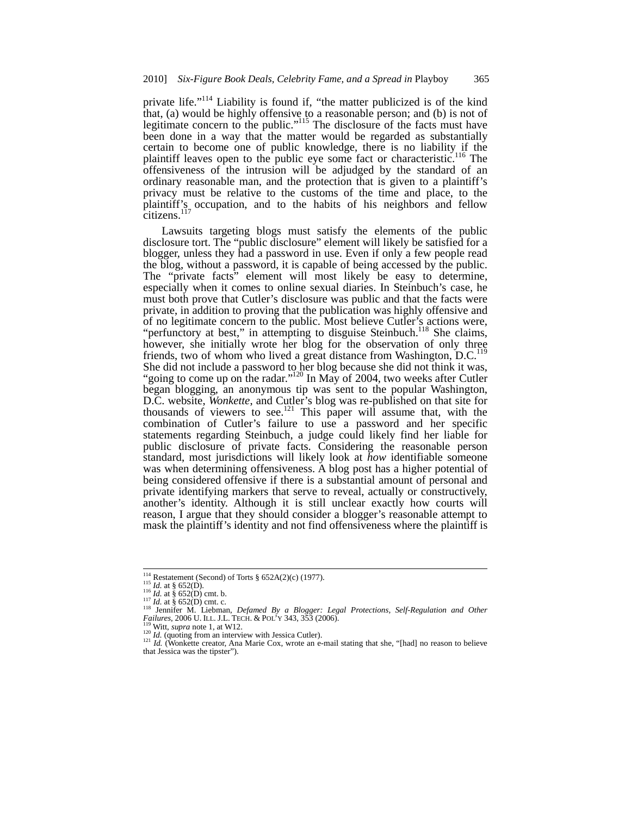private life."<sup>114</sup> Liability is found if, "the matter publicized is of the kind that, (a) would be highly offensive to a reasonable person; and (b) is not of legitimate concern to the public."<sup>115</sup> The disclosure of the facts must have been done in a way that the matter would be regarded as substantially certain to become one of public knowledge, there is no liability if the plaintiff leaves open to the public eye some fact or characteristic.<sup>116</sup> The offensiveness of the intrusion will be adjudged by the standard of an ordinary reasonable man, and the protection that is given to a plaintiff's privacy must be relative to the customs of the time and place, to the plaintiff's occupation, and to the habits of his neighbors and fellow  $\frac{1}{\text{citizens.}}$ <sup>117</sup>

Lawsuits targeting blogs must satisfy the elements of the public disclosure tort. The "public disclosure" element will likely be satisfied for a blogger, unless they had a password in use. Even if only a few people read the blog, without a password, it is capable of being accessed by the public. The "private facts" element will most likely be easy to determine, especially when it comes to online sexual diaries. In Steinbuch's case, he must both prove that Cutler's disclosure was public and that the facts were private, in addition to proving that the publication was highly offensive and of no legitimate concern to the public. Most believe Cutler's actions were, "perfunctory at best," in attempting to disguise Steinbuch.<sup>118</sup> She claims, however, she initially wrote her blog for the observation of only three friends, two of whom who lived a great distance from Washington,  $D.C.<sup>119</sup>$ She did not include a password to her blog because she did not think it was, "going to come up on the radar."<sup>120</sup> In May of 2004, two weeks after Cutler began blogging, an anonymous tip was sent to the popular Washington, D.C. website, *Wonkette*, and Cutler's blog was re-published on that site for thousands of viewers to see.<sup>121</sup> This paper will assume that, with the combination of Cutler's failure to use a password and her specific statements regarding Steinbuch, a judge could likely find her liable for public disclosure of private facts. Considering the reasonable person standard, most jurisdictions will likely look at *how* identifiable someone was when determining offensiveness. A blog post has a higher potential of being considered offensive if there is a substantial amount of personal and private identifying markers that serve to reveal, actually or constructively, another's identity. Although it is still unclear exactly how courts will reason, I argue that they should consider a blogger's reasonable attempt to mask the plaintiff's identity and not find offensiveness where the plaintiff is

<sup>&</sup>lt;sup>114</sup> Restatement (Second) of Torts § 652A(2)(c) (1977).

<sup>&</sup>lt;sup>114</sup> Restatement (Second) of Torts § 652A(2)(c) (1977).<br><sup>115</sup> Id. at § 652(D).<br><sup>116</sup> d. at § 652(D) cmt. b.<br><sup>117</sup> Id. at § 652(D) cmt. c.<br><sup>117</sup> Id. at § 652(D) cmt. c.<br><sup>118</sup> Jennifer M. Liebman, *Defamed By a Blogger: Leg Failures*, 2006 U. ILL. J.L. TECH. & POL'Y 343, 353 (2006).<br><sup>119</sup> Witt, *supra* note 1, at W12.<br><sup>120</sup> Id. (quoting from an interview with Jessica Cutler).<br><sup>121</sup> Id. (Wonkette creator, Ana Marie Cox, wrote an e-mail statin

 $121$  *Id.* (Wonkette creator, Ana Marie Cox, wrote an e-mail stating that she, "[had] no reason to believe that Jessica was the tipster").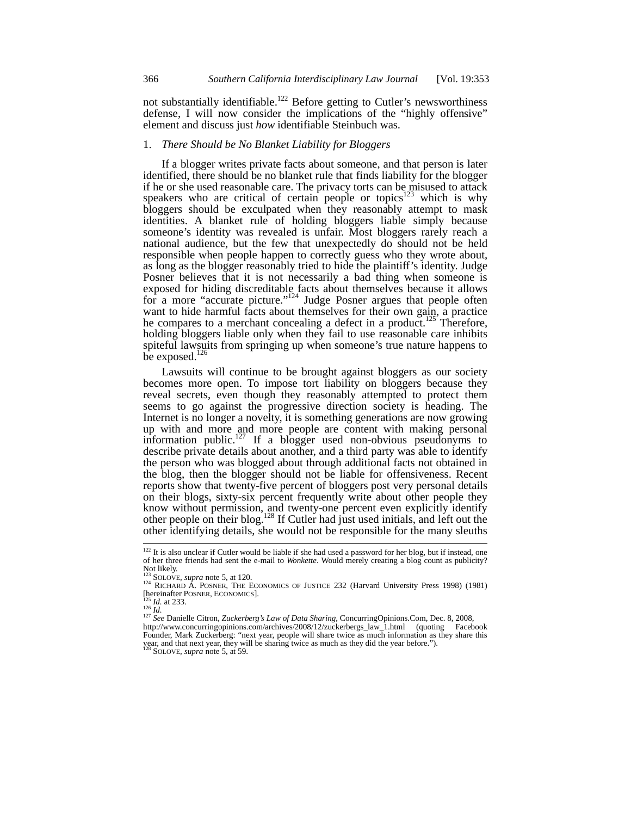not substantially identifiable.<sup>122</sup> Before getting to Cutler's newsworthiness defense, I will now consider the implications of the "highly offensive" element and discuss just *how* identifiable Steinbuch was.

#### 1. *There Should be No Blanket Liability for Bloggers*

If a blogger writes private facts about someone, and that person is later identified, there should be no blanket rule that finds liability for the blogger if he or she used reasonable care. The privacy torts can be misused to attack speakers who are critical of certain people or topics<sup>123</sup> which is why bloggers should be exculpated when they reasonably attempt to mask identities. A blanket rule of holding bloggers liable simply because someone's identity was revealed is unfair. Most bloggers rarely reach a national audience, but the few that unexpectedly do should not be held responsible when people happen to correctly guess who they wrote about, as long as the blogger reasonably tried to hide the plaintiff's identity. Judge Posner believes that it is not necessarily a bad thing when someone is exposed for hiding discreditable facts about themselves because it allows for a more "accurate picture."<sup>124</sup> Judge Posner argues that people often want to hide harmful facts about themselves for their own gain, a practice he compares to a merchant concealing a defect in a product.<sup>125</sup> Therefore, holding bloggers liable only when they fail to use reasonable care inhibits spiteful lawsuits from springing up when someone's true nature happens to be exposed. $126$ 

Lawsuits will continue to be brought against bloggers as our society becomes more open. To impose tort liability on bloggers because they reveal secrets, even though they reasonably attempted to protect them seems to go against the progressive direction society is heading. The Internet is no longer a novelty, it is something generations are now growing up with and more and more people are content with making personal information public.<sup>127</sup> If a blogger used non-obvious pseudonyms to describe private details about another, and a third party was able to identify the person who was blogged about through additional facts not obtained in the blog, then the blogger should not be liable for offensiveness. Recent reports show that twenty-five percent of bloggers post very personal details on their blogs, sixty-six percent frequently write about other people they know without permission, and twenty-one percent even explicitly identify other people on their blog.<sup>128</sup> If Cutler had just used initials, and left out the other identifying details, she would not be responsible for the many sleuths

 $122$  It is also unclear if Cutler would be liable if she had used a password for her blog, but if instead, one of her three friends had sent the e-mail to *Wonkette*. Would merely creating a blog count as publicity? Not likely.<br><sup>123</sup> SOLOVE, *supra* note 5, at 120.

<sup>124</sup> RICHARD A. POSNER, THE ECONOMICS OF JUSTICE 232 (Harvard University Press 1998) (1981)<br>
Internation A. POSNER, ECONOMICS].<br>
<sup>124</sup> RICHARD A. POSNER, ECONOMICS].

<sup>[</sup>hereinafter POSNER, ECONOMICS]. 125 *Id.* at 233. <sup>126</sup> *Id.* <sup>127</sup> *See* Danielle Citron, *Zuckerberg's Law of Data Sharing*, ConcurringOpinions.Com, Dec. 8, 2008, http://www.concurringopinions.com/archives/2008/12/zuckerbergs\_law\_1.html (quoting Facebook Founder, Mark Zuckerberg: "next year, people will share twice as much information as they share this year, and that next year, they will be sharing twice as much as they did the year before."). <sup>128</sup> SOLOVE, *supra* note 5, at 59.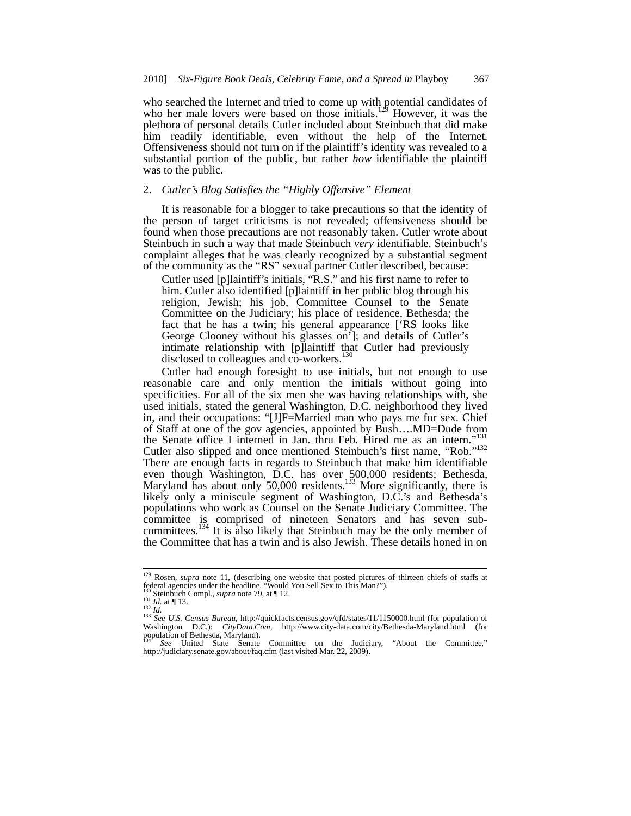who searched the Internet and tried to come up with potential candidates of who her male lovers were based on those initials.<sup>129</sup> However, it was the plethora of personal details Cutler included about Steinbuch that did make him readily identifiable, even without the help of the Internet. Offensiveness should not turn on if the plaintiff's identity was revealed to a substantial portion of the public, but rather *how* identifiable the plaintiff was to the public.

# 2. *Cutler's Blog Satisfies the "Highly Offensive" Element*

It is reasonable for a blogger to take precautions so that the identity of the person of target criticisms is not revealed; offensiveness should be found when those precautions are not reasonably taken. Cutler wrote about Steinbuch in such a way that made Steinbuch *very* identifiable. Steinbuch's complaint alleges that he was clearly recognized by a substantial segment of the community as the "RS" sexual partner Cutler described, because:

Cutler used [p]laintiff's initials, "R.S." and his first name to refer to him. Cutler also identified [p]laintiff in her public blog through his religion, Jewish; his job, Committee Counsel to the Senate Committee on the Judiciary; his place of residence, Bethesda; the fact that he has a twin; his general appearance ['RS looks like George Clooney without his glasses on']; and details of Cutler's intimate relationship with [p]laintiff that Cutler had previously disclosed to colleagues and co-workers.<sup>130</sup>

Cutler had enough foresight to use initials, but not enough to use reasonable care and only mention the initials without going into specificities. For all of the six men she was having relationships with, she used initials, stated the general Washington, D.C. neighborhood they lived in, and their occupations: "[J]F=Married man who pays me for sex. Chief of Staff at one of the gov agencies, appointed by Bush….MD=Dude from the Senate office I interned in Jan. thru Feb. Hired me as an intern.' Cutler also slipped and once mentioned Steinbuch's first name, "Rob."132 There are enough facts in regards to Steinbuch that make him identifiable even though Washington, D.C. has over 500,000 residents; Bethesda, Maryland has about only 50,000 residents.<sup>133</sup> More significantly, there is likely only a miniscule segment of Washington, D.C.'s and Bethesda's populations who work as Counsel on the Senate Judiciary Committee. The committee is comprised of nineteen Senators and has seven subcommittees.<sup>134</sup> It is also likely that Steinbuch may be the only member of the Committee that has a twin and is also Jewish. These details honed in on

<sup>&</sup>lt;sup>129</sup> Rosen, *supra* note 11, (describing one website that posted pictures of thirteen chiefs of staffs at federal agencies under the headline, "Would You Sell Sex to This Man?").

<sup>&</sup>lt;sup>130</sup> Steinbuch Compl., *supra* note 79, at ¶ 12.<br><sup>131</sup> *Id.* at ¶ 13.<br><sup>132</sup> *Id.* 28 *Id. Census Bureau*, http://quickfacts.census.gov/qfd/states/11/1150000.html (for population of Washington D.C.); *CityData.Com*, http://www.city-data.com/city/Bethesda-Maryland.html (for population of Bethesda, Maryland).

<sup>134</sup> *See* United State Senate Committee on the Judiciary, "About the Committee," http://judiciary.senate.gov/about/faq.cfm (last visited Mar. 22, 2009).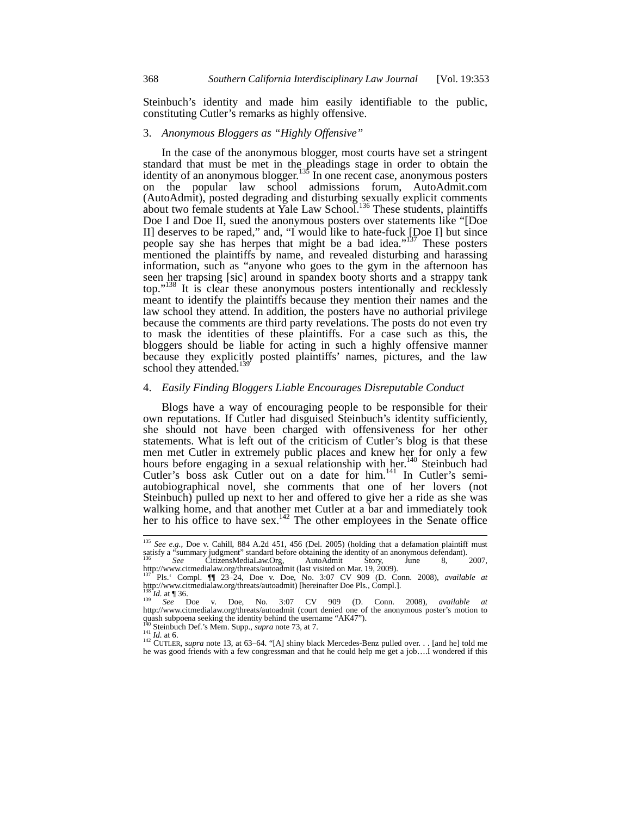Steinbuch's identity and made him easily identifiable to the public, constituting Cutler's remarks as highly offensive.

#### 3. *Anonymous Bloggers as "Highly Offensive"*

In the case of the anonymous blogger, most courts have set a stringent standard that must be met in the pleadings stage in order to obtain the identity of an anonymous blogger.<sup>135</sup> In one recent case, anonymous posters on the popular law school admissions forum, AutoAdmit.com (AutoAdmit), posted degrading and disturbing sexually explicit comments about two female students at Yale Law School.<sup>136</sup> These students, plaintiffs Doe I and Doe II, sued the anonymous posters over statements like "[Doe II] deserves to be raped," and, "I would like to hate-fuck [Doe I] but since people say she has herpes that might be a bad idea."<sup>137</sup> These posters mentioned the plaintiffs by name, and revealed disturbing and harassing information, such as "anyone who goes to the gym in the afternoon has seen her trapsing [sic] around in spandex booty shorts and a strappy tank top."138 It is clear these anonymous posters intentionally and recklessly meant to identify the plaintiffs because they mention their names and the law school they attend. In addition, the posters have no authorial privilege because the comments are third party revelations. The posts do not even try to mask the identities of these plaintiffs. For a case such as this, the bloggers should be liable for acting in such a highly offensive manner because they explicitly posted plaintiffs' names, pictures, and the law school they attended.<sup>139</sup>

## 4. *Easily Finding Bloggers Liable Encourages Disreputable Conduct*

Blogs have a way of encouraging people to be responsible for their own reputations. If Cutler had disguised Steinbuch's identity sufficiently, she should not have been charged with offensiveness for her other statements. What is left out of the criticism of Cutler's blog is that these men met Cutler in extremely public places and knew her for only a few hours before engaging in a sexual relationship with her.<sup>140</sup> Steinbuch had Cutler's boss ask Cutler out on a date for him.<sup>141</sup> In Cutler's semiautobiographical novel, she comments that one of her lovers (not Steinbuch) pulled up next to her and offered to give her a ride as she was walking home, and that another met Cutler at a bar and immediately took her to his office to have sex.<sup>142</sup> The other employees in the Senate office

<sup>135</sup> *See e.g.,* Doe v. Cahill, 884 A.2d 451, 456 (Del. 2005) (holding that a defamation plaintiff must satisfy a "summary judgment" standard before obtaining the identity of an anonymous defendant). <sup>136</sup> *See* CitizensMediaLaw.Org, AutoAdmit Story, June 8, 2007,

http://www.citmedialaw.org/threats/autoadmit (last visited on Mar. 19, 2009).<br><sup>137</sup> Pls. Compl. ¶ 23–24, Doe v. Doe, No. 3:07 CV 909 (D. Conn. 2008), *available at*<br>http://www.citmedialaw.org/threats/autoadmit) [hereinafte

<sup>138</sup> *Id.* at ¶ 36. <sup>139</sup> *See* Doe v. Doe, No. 3:07 CV 909 (D. Conn. 2008), *available at* http://www.citmedialaw.org/threats/autoadmit (court denied one of the anonymous poster's motion to quash subpoena seeking the identity behind the username "AK47").<br><sup>140</sup> Steinbuch Def.'s Mem. Supp., *supra* note 73, at 7.<br><sup>141</sup> *Id.* at 6.

<sup>&</sup>lt;sup>142</sup> CUTLER, *supra* note 13, at 63–64. "[A] shiny black Mercedes-Benz pulled over. . . [and he] told me he was good friends with a few congressman and that he could help me get a job….I wondered if this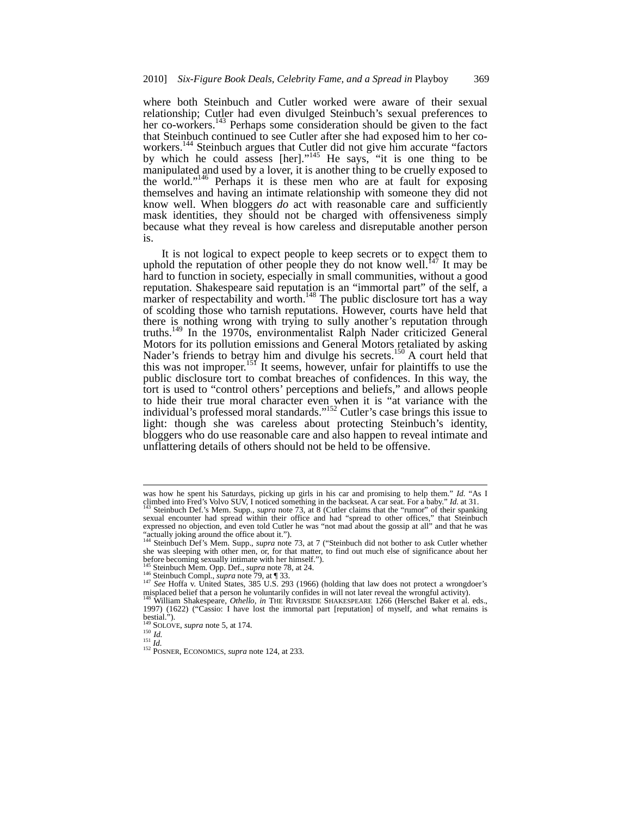where both Steinbuch and Cutler worked were aware of their sexual relationship; Cutler had even divulged Steinbuch's sexual preferences to her co-workers.<sup>143</sup> Perhaps some consideration should be given to the fact that Steinbuch continued to see Cutler after she had exposed him to her coworkers.<sup>144</sup> Steinbuch argues that Cutler did not give him accurate "factors by which he could assess [her]."<sup>145</sup> He says, "it is one thing to be manipulated and used by a lover, it is another thing to be cruelly exposed to the world."146 Perhaps it is these men who are at fault for exposing themselves and having an intimate relationship with someone they did not know well. When bloggers *do* act with reasonable care and sufficiently mask identities, they should not be charged with offensiveness simply because what they reveal is how careless and disreputable another person is.

It is not logical to expect people to keep secrets or to expect them to uphold the reputation of other people they do not know well.<sup>147</sup> It may be hard to function in society, especially in small communities, without a good reputation. Shakespeare said reputation is an "immortal part" of the self, a marker of respectability and worth.<sup>148</sup> The public disclosure tort has a way of scolding those who tarnish reputations. However, courts have held that there is nothing wrong with trying to sully another's reputation through truths.149 In the 1970s, environmentalist Ralph Nader criticized General Motors for its pollution emissions and General Motors retaliated by asking Nader's friends to betray him and divulge his secrets.<sup>150</sup> A court held that this was not improper.<sup>151</sup> It seems, however, unfair for plaintiffs to use the public disclosure tort to combat breaches of confidences. In this way, the tort is used to "control others' perceptions and beliefs," and allows people to hide their true moral character even when it is "at variance with the individual's professed moral standards."152 Cutler's case brings this issue to light: though she was careless about protecting Steinbuch's identity, bloggers who do use reasonable care and also happen to reveal intimate and unflattering details of others should not be held to be offensive.

was how he spent his Saturdays, picking up girls in his car and promising to help them." *Id.* "As I climbed into Fred's Volvo SUV, I noticed something in the backseat. A car seat. For a baby." *Id.* at 31. <sup>143</sup> Steinbuch Def.'s Mem. Supp., *supra* note 73, at 8 (Cutler claims that the "rumor" of their spanking

sexual encounter had spread within their office and had "spread to other offices," that Steinbuch expressed no objection, and even told Cutler he was "not mad about the gossip at all" and that he was "actually joking around the office about it."). <sup>144</sup> Steinbuch Def's Mem. Supp., *supra* note 73, at 7 ("Steinbuch did not bother to ask Cutler whether

she was sleeping with other men, or, for that matter, to find out much else of significance about her before becoming sexually intimate with her himself.").<br><sup>145</sup> Steinbuch Mem. Opp. Def., *supra* note 78, at 24.

<sup>&</sup>lt;sup>146</sup> Steinbuch Compl., *supra* note 79, at 133.<br><sup>147</sup> See Hoffa v. United States, 385 U.S. 293 (1966) (holding that law does not protect a wrongdoer's misplaced belief that a person he voluntarily confides in will not later reveal the wrongful activity).

<sup>148</sup> William Shakespeare, *Othello, in* THE RIVERSIDE SHAKESPEARE 1266 (Herschel Baker et al. eds., 1997) (1622) ("Cassio: I have lost the immortal part [reputation] of myself, and what remains is bestial.").<br><sup>149</sup> SOLOVE, *supra* note 5, at 174.

<sup>149</sup> SOLOVE, *supra* note 5, at 174. <sup>150</sup> *Id.* <sup>151</sup> *Id.* <sup>152</sup> POSNER, ECONOMICS, *supra* note 124, at 233.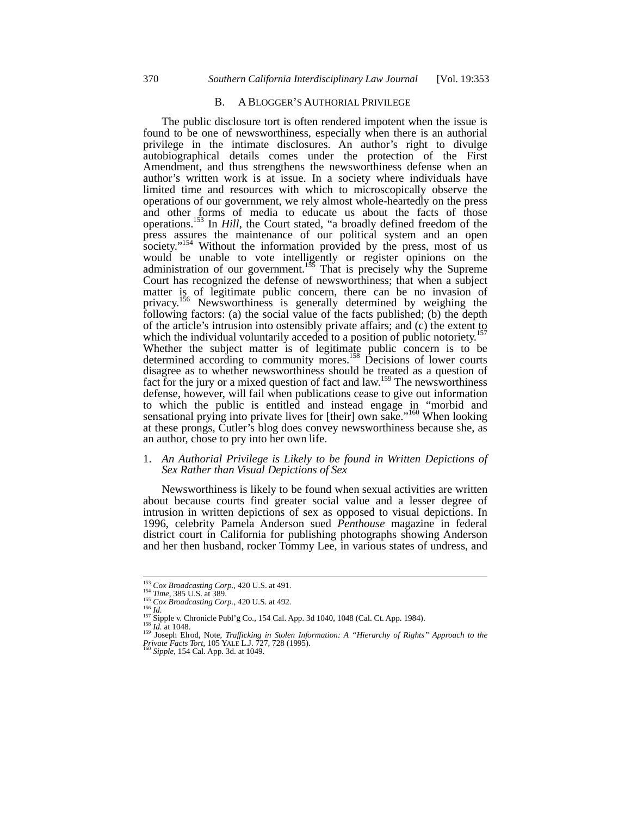## B. A BLOGGER'S AUTHORIAL PRIVILEGE

The public disclosure tort is often rendered impotent when the issue is found to be one of newsworthiness, especially when there is an authorial privilege in the intimate disclosures. An author's right to divulge autobiographical details comes under the protection of the First Amendment, and thus strengthens the newsworthiness defense when an author's written work is at issue. In a society where individuals have limited time and resources with which to microscopically observe the operations of our government, we rely almost whole-heartedly on the press and other forms of media to educate us about the facts of those operations.153 In *Hill*, the Court stated, "a broadly defined freedom of the press assures the maintenance of our political system and an open society."<sup>154</sup> Without the information provided by the press, most of us would be unable to vote intelligently or register opinions on the administration of our government.<sup>155</sup> That is precisely why the Supreme Court has recognized the defense of newsworthiness; that when a subject matter is of legitimate public concern, there can be no invasion of privacy.<sup>156</sup> Newsworthiness is generally determined by weighing the following factors: (a) the social value of the facts published; (b) the depth of the article's intrusion into ostensibly private affairs; and (c) the extent to which the individual voluntarily acceded to a position of public notoriety.<sup>157</sup> Whether the subject matter is of legitimate public concern is to be determined according to community mores.<sup>158</sup> Decisions of lower courts disagree as to whether newsworthiness should be treated as a question of fact for the jury or a mixed question of fact and law.<sup>159</sup> The newsworthiness defense, however, will fail when publications cease to give out information to which the public is entitled and instead engage in "morbid and sensational prying into private lives for [their] own sake."<sup>160</sup> When looking at these prongs, Cutler's blog does convey newsworthiness because she, as an author, chose to pry into her own life.

## 1. *An Authorial Privilege is Likely to be found in Written Depictions of Sex Rather than Visual Depictions of Sex*

Newsworthiness is likely to be found when sexual activities are written about because courts find greater social value and a lesser degree of intrusion in written depictions of sex as opposed to visual depictions. In 1996, celebrity Pamela Anderson sued *Penthouse* magazine in federal district court in California for publishing photographs showing Anderson and her then husband, rocker Tommy Lee, in various states of undress, and

 $\frac{153}{154}$  Cox Broadcasting Corp., 420 U.S. at 491.<br>  $\frac{154}{154}$  Time, 385 U.S. at 389.

<sup>&</sup>lt;sup>154</sup> *Time*, 385 U.S. at 389.<br>
<sup>155</sup> *Cox Broadcasting Corp.*, 420 U.S. at 492.<br>
<sup>156</sup> *Id.*<br>
<sup>157</sup> Sipple v. Chronicle Publ'g Co., 154 Cal. App. 3d 1040, 1048 (Cal. Ct. App. 1984).<br>
<sup>157</sup> Sipple v. Chronicle Publ'g Co., *Private Facts Tort*, 105 YALE L.J. 727, 728 (1995). <sup>160</sup> *Sipple*, 154 Cal. App. 3d. at 1049.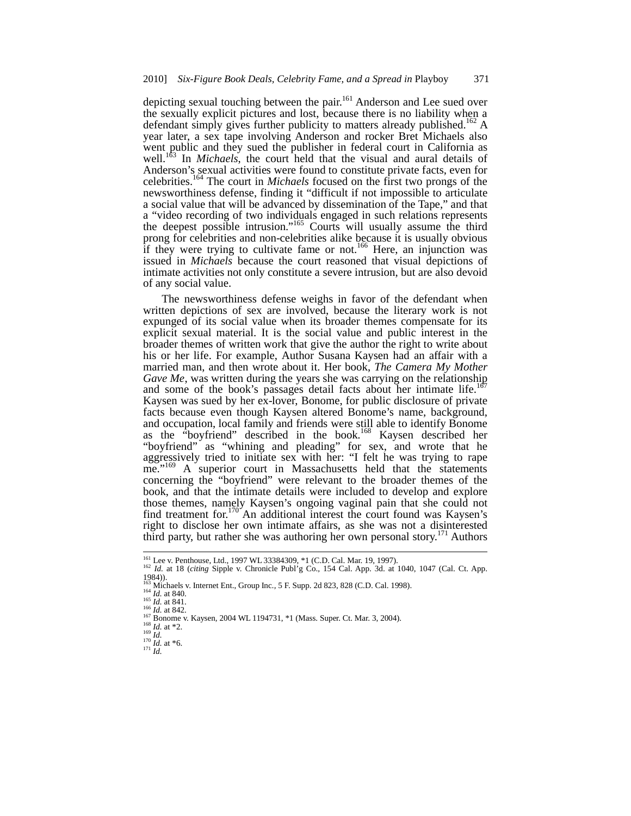depicting sexual touching between the pair.<sup>161</sup> Anderson and Lee sued over the sexually explicit pictures and lost, because there is no liability when a defendant simply gives further publicity to matters already published.<sup>162</sup> A year later, a sex tape involving Anderson and rocker Bret Michaels also went public and they sued the publisher in federal court in California as well.<sup>163</sup> In *Michaels*, the court held that the visual and aural details of Anderson's sexual activities were found to constitute private facts, even for celebrities.164 The court in *Michaels* focused on the first two prongs of the newsworthiness defense, finding it "difficult if not impossible to articulate a social value that will be advanced by dissemination of the Tape," and that a "video recording of two individuals engaged in such relations represents the deepest possible intrusion."<sup>165</sup> Courts will usually assume the third prong for celebrities and non-celebrities alike because it is usually obvious if they were trying to cultivate fame or not.<sup>166</sup> Here, an injunction was issued in *Michaels* because the court reasoned that visual depictions of intimate activities not only constitute a severe intrusion, but are also devoid of any social value.

The newsworthiness defense weighs in favor of the defendant when written depictions of sex are involved, because the literary work is not expunged of its social value when its broader themes compensate for its explicit sexual material. It is the social value and public interest in the broader themes of written work that give the author the right to write about his or her life. For example, Author Susana Kaysen had an affair with a married man, and then wrote about it. Her book, *The Camera My Mother Gave Me*, was written during the years she was carrying on the relationship and some of the book's passages detail facts about her intimate life.<sup>167</sup> Kaysen was sued by her ex-lover, Bonome, for public disclosure of private facts because even though Kaysen altered Bonome's name, background, and occupation, local family and friends were still able to identify Bonome as the "boyfriend" described in the book.<sup>168</sup> Kaysen described her "boyfriend" as "whining and pleading" for sex, and wrote that he aggressively tried to initiate sex with her: "I felt he was trying to rape me."<sup>169</sup> A superior court in Massachusetts held that the statements concerning the "boyfriend" were relevant to the broader themes of the book, and that the intimate details were included to develop and explore those themes, namely Kaysen's ongoing vaginal pain that she could not find treatment for.<sup>170</sup> An additional interest the court found was Kaysen's right to disclose her own intimate affairs, as she was not a disinterested third party, but rather she was authoring her own personal story.<sup>171</sup> Authors

<sup>&</sup>lt;sup>161</sup> Lee v. Penthouse, Ltd., 1997 WL 33384309, \*1 (C.D. Cal. Mar. 19, 1997).

<sup>162</sup> *Id.* at 18 (*citing* Sipple v. Chronicle Publ'g Co., 154 Cal. App. 3d. at 1040, 1047 (Cal. Ct. App. 1984)).<br>
163 Michaels v. Internet Ent., Group Inc., 5 F. Supp. 2d 823, 828 (C.D. Cal. 1998).<br>
<sup>164</sup> *Id.* at 840.<br>
<sup>165</sup> *Id.* at 842.<br>
<sup>166</sup> Id. at 842.<br>
<sup>167</sup> Bonome v. Kaysen, 2004 WL 1194731, \*1 (Mass. Super. Ct. Mar.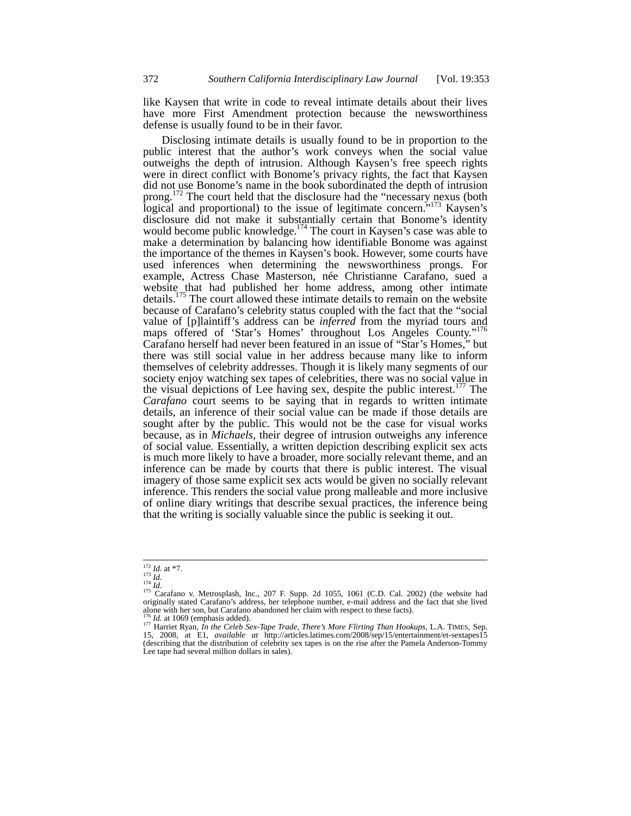like Kaysen that write in code to reveal intimate details about their lives have more First Amendment protection because the newsworthiness defense is usually found to be in their favor.

Disclosing intimate details is usually found to be in proportion to the public interest that the author's work conveys when the social value outweighs the depth of intrusion. Although Kaysen's free speech rights were in direct conflict with Bonome's privacy rights, the fact that Kaysen did not use Bonome's name in the book subordinated the depth of intrusion prong.<sup>172</sup> The court held that the disclosure had the "necessary nexus (both logical and proportional) to the issue of legitimate concern.<sup>5,173</sup> Kaysen's disclosure did not make it substantially certain that Bonome's identity would become public knowledge.<sup>174</sup> The court in Kaysen's case was able to make a determination by balancing how identifiable Bonome was against the importance of the themes in Kaysen's book. However, some courts have used inferences when determining the newsworthiness prongs. For example, Actress Chase Masterson, née Christianne Carafano, sued a website that had published her home address, among other intimate details.<sup>175</sup> The court allowed these intimate details to remain on the website because of Carafano's celebrity status coupled with the fact that the "social value of [p]laintiff's address can be *inferred* from the myriad tours and maps offered of 'Star's Homes' throughout Los Angeles County."<sup>176</sup> Carafano herself had never been featured in an issue of "Star's Homes," but there was still social value in her address because many like to inform themselves of celebrity addresses. Though it is likely many segments of our society enjoy watching sex tapes of celebrities, there was no social value in the visual depictions of Lee having sex, despite the public interest.<sup>177</sup> The *Carafano* court seems to be saying that in regards to written intimate details, an inference of their social value can be made if those details are sought after by the public. This would not be the case for visual works because, as in *Michaels*, their degree of intrusion outweighs any inference of social value*.* Essentially, a written depiction describing explicit sex acts is much more likely to have a broader, more socially relevant theme, and an inference can be made by courts that there is public interest. The visual imagery of those same explicit sex acts would be given no socially relevant inference. This renders the social value prong malleable and more inclusive of online diary writings that describe sexual practices, the inference being that the writing is socially valuable since the public is seeking it out.

<sup>&</sup>lt;sup>172</sup> *Id.* at \*7.<br><sup>173</sup> *Id.*<br><sup>174</sup> *Id.* 2002) (the website had 175 Carafano v. Metrosplash, Inc., 207 F. Supp. 2d 1055, 1061 (C.D. Cal. 2002) (the website had originally stated Carafano's address, her telephone number, e-mail address and the fact that she lived<br>alone with her son, but Carafano abandoned her claim with respect to these facts).<br><sup>176</sup> *Id.* at 1069 (emphasis added)

<sup>16.</sup> at 1009 (emphasis added).<br>
15, 2008, at E1, *available at* http://articles.latimes.com/2008/sep/15/entertainment/et-sextapes15<br>
15, 2008, at E1, *available at* http://articles.latimes.com/2008/sep/15/entertainment/et-s (describing that the distribution of celebrity sex tapes is on the rise after the Pamela Anderson-Tommy Lee tape had several million dollars in sales).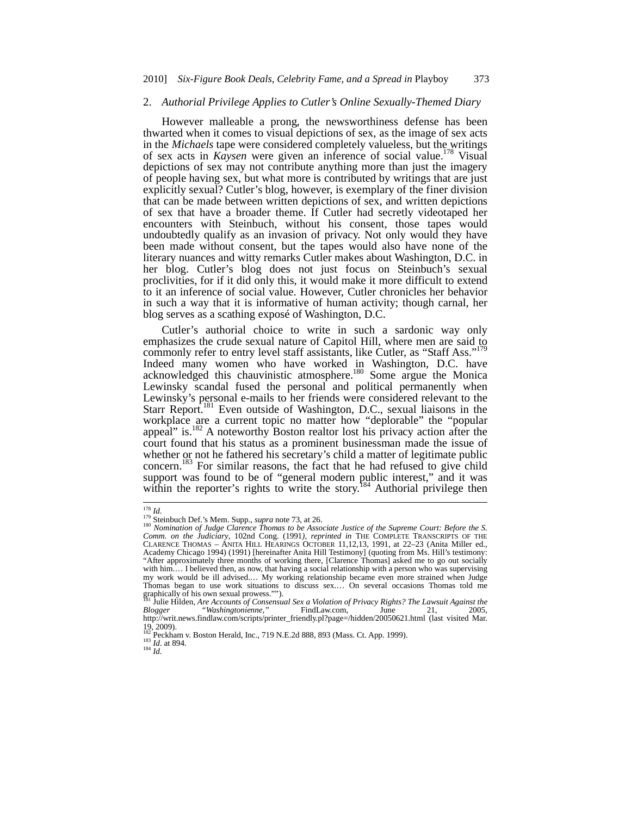#### 2. *Authorial Privilege Applies to Cutler's Online Sexually-Themed Diary*

However malleable a prong, the newsworthiness defense has been thwarted when it comes to visual depictions of sex, as the image of sex acts in the *Michaels* tape were considered completely valueless, but the writings of sex acts in *Kaysen* were given an inference of social value.<sup>178</sup> Visual depictions of sex may not contribute anything more than just the imagery of people having sex, but what more is contributed by writings that are just explicitly sexual? Cutler's blog, however, is exemplary of the finer division that can be made between written depictions of sex, and written depictions of sex that have a broader theme. If Cutler had secretly videotaped her encounters with Steinbuch, without his consent, those tapes would undoubtedly qualify as an invasion of privacy. Not only would they have been made without consent, but the tapes would also have none of the literary nuances and witty remarks Cutler makes about Washington, D.C. in her blog. Cutler's blog does not just focus on Steinbuch's sexual proclivities, for if it did only this, it would make it more difficult to extend to it an inference of social value. However, Cutler chronicles her behavior in such a way that it is informative of human activity; though carnal, her blog serves as a scathing exposé of Washington, D.C.

Cutler's authorial choice to write in such a sardonic way only emphasizes the crude sexual nature of Capitol Hill, where men are said to commonly refer to entry level staff assistants, like Cutler, as "Staff Ass."<sup>179</sup> Indeed many women who have worked in Washington, D.C. have acknowledged this chauvinistic atmosphere.<sup>180</sup> Some argue the Monica Lewinsky scandal fused the personal and political permanently when Lewinsky's personal e-mails to her friends were considered relevant to the Starr Report.<sup>181</sup> Even outside of Washington, D.C., sexual liaisons in the workplace are a current topic no matter how "deplorable" the "popular appeal" is.<sup>182</sup> A noteworthy Boston realtor lost his privacy action after the court found that his status as a prominent businessman made the issue of whether or not he fathered his secretary's child a matter of legitimate public concern.<sup>183</sup> For similar reasons, the fact that he had refused to give child support was found to be of "general modern public interest," and it was within the reporter's rights to write the story.<sup>184</sup> Authorial privilege then

 $178$  *Id.* 

<sup>179</sup> **Ide.**<br><sup>179</sup> Steinbuch Def.'s Mem. Supp., *supra* note 73, at 26.<br><sup>180</sup> *Nomination of Judge Clarence Thomas to be Associate Justice of the Supreme Court: Before the S.*<br>2001) *according the Computer Computer Thanseter Comm. on the Judiciary*, 102nd Cong. (1991*), reprinted in* THE COMPLETE TRANSCRIPTS OF THE CLARENCE THOMAS – ANITA HILL HEARINGS OCTOBER 11,12,13, 1991, at 22–23 (Anita Miller ed., Academy Chicago 1994) (1991) [hereinafter Anita Hill Testimony] (quoting from Ms. Hill's testimony: "After approximately three months of working there, [Clarence Thomas] asked me to go out socially with him.... I believed then, as now, that having a social relationship with a person who was supervising my work would be ill advised.… My working relationship became even more strained when Judge Thomas began to use work situations to discuss sex.… On several occasions Thomas told me graphically of his own sexual prowess."").

<sup>181</sup> Julie Hilden, *Are Accounts of Consensual Sex a Violation of Privacy Rights? The Lawsuit Against the ogger* "Washingtonienne," FindLaw.com, June 21, 2005, *Blogger "Washingtonienne,"* FindLaw.com, June 21, 2005, http://writ.news.findlaw.com/scripts/printer\_friendly.pl?page=/hidden/20050621.html (last visited Mar. 19, 2009).

<sup>19, 2009).&</sup>lt;br><sup>182</sup> Peckham v. Boston Herald, Inc., 719 N.E.2d 888, 893 (Mass. Ct. App. 1999).<br><sup>183</sup> *Id.* at 894.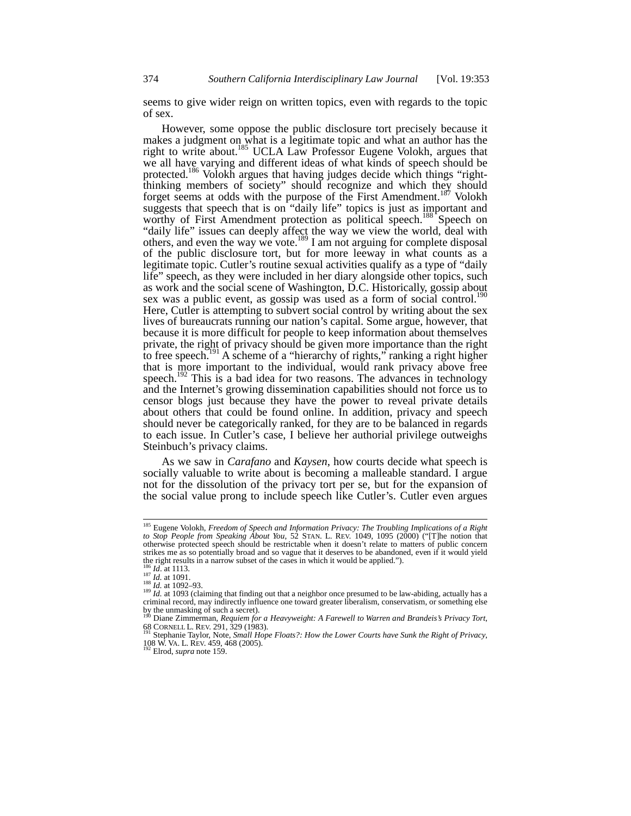seems to give wider reign on written topics, even with regards to the topic of sex.

However, some oppose the public disclosure tort precisely because it makes a judgment on what is a legitimate topic and what an author has the right to write about.<sup>185</sup> UCLA Law Professor Eugene Volokh, argues that we all have varying and different ideas of what kinds of speech should be protected.<sup>186</sup> Volokh argues that having judges decide which things "rightthinking members of society" should recognize and which they should forget seems at odds with the purpose of the First Amendment.<sup>187</sup> Volokh suggests that speech that is on "daily life" topics is just as important and worthy of First Amendment protection as political speech.<sup>188</sup> Speech on "daily life" issues can deeply affect the way we view the world, deal with others, and even the way we vote.<sup>189</sup> I am not arguing for complete disposal of the public disclosure tort, but for more leeway in what counts as a legitimate topic. Cutler's routine sexual activities qualify as a type of "daily life" speech, as they were included in her diary alongside other topics, such as work and the social scene of Washington, D.C. Historically, gossip about sex was a public event, as gossip was used as a form of social control.<sup>190</sup> Here, Cutler is attempting to subvert social control by writing about the sex lives of bureaucrats running our nation's capital. Some argue, however, that because it is more difficult for people to keep information about themselves private, the right of privacy should be given more importance than the right to free speech.<sup>9191</sup> A scheme of a "hierarchy of rights," ranking a right higher that is more important to the individual, would rank privacy above free speech.<sup>192</sup> This is a bad idea for two reasons. The advances in technology and the Internet's growing dissemination capabilities should not force us to censor blogs just because they have the power to reveal private details about others that could be found online. In addition, privacy and speech should never be categorically ranked, for they are to be balanced in regards to each issue. In Cutler's case, I believe her authorial privilege outweighs Steinbuch's privacy claims.

As we saw in *Carafano* and *Kaysen*, how courts decide what speech is socially valuable to write about is becoming a malleable standard. I argue not for the dissolution of the privacy tort per se, but for the expansion of the social value prong to include speech like Cutler's. Cutler even argues

<sup>185</sup> Eugene Volokh, *Freedom of Speech and Information Privacy: The Troubling Implications of a Right to Stop People from Speaking About You*, 52 STAN. L. REV. 1049, 1095 (2000) ("[T]he notion that otherwise protected speech should be restrictable when it doesn't relate to matters of public concern strikes me as so potentially broad and so vague that it deserves to be abandoned, even if it would yield the right results in a narrow subset of the cases in which it would be applied.").<br><sup>186</sup> *Id.* at 1113.<br><sup>187</sup> *Id.* at 1091.<br><sup>187</sup> *Id.* at 1092–93.<br><sup>189</sup> *Id.* at 1093 (claiming that finding out that a neighbor once pres

 $189$  *Id.* at 1093 (claiming that finding out that a neighbor once presumed to be law-abiding, actually has a criminal record, may indirectly influence one toward greater liberalism, conservatism, or something else by the unmasking of such a secret). <sup>190</sup> Diane Zimmerman, *Requiem for a Heavyweight: A Farewell to Warren and Brandeis's Privacy Tort*,

<sup>68</sup> CORNELL L. REV. 291, 329 (1983). 191 Stephanie Taylor, Note, *Small Hope Floats?: How the Lower Courts have Sunk the Right of Privacy*,

<sup>108</sup> W. VA. L. REV. 459, 468 (2005). 192 Elrod, *supra* note 159.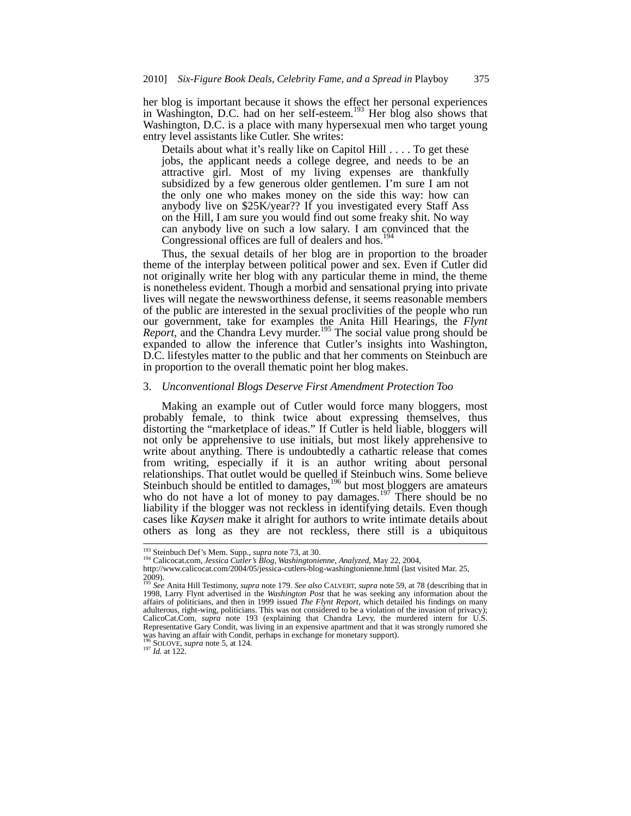her blog is important because it shows the effect her personal experiences in Washington, D.C. had on her self-esteem.<sup>193</sup> Her blog also shows that Washington, D.C. is a place with many hypersexual men who target young entry level assistants like Cutler. She writes:

Details about what it's really like on Capitol Hill . . . . To get these jobs, the applicant needs a college degree, and needs to be an attractive girl. Most of my living expenses are thankfully subsidized by a few generous older gentlemen. I'm sure I am not the only one who makes money on the side this way: how can anybody live on \$25K/year?? If you investigated every Staff Ass on the Hill, I am sure you would find out some freaky shit. No way can anybody live on such a low salary. I am convinced that the Congressional offices are full of dealers and hos.

Thus, the sexual details of her blog are in proportion to the broader theme of the interplay between political power and sex. Even if Cutler did not originally write her blog with any particular theme in mind, the theme is nonetheless evident. Though a morbid and sensational prying into private lives will negate the newsworthiness defense, it seems reasonable members of the public are interested in the sexual proclivities of the people who run our government, take for examples the Anita Hill Hearings, the *Flynt Report*, and the Chandra Levy murder.<sup>195</sup> The social value prong should be expanded to allow the inference that Cutler's insights into Washington, D.C. lifestyles matter to the public and that her comments on Steinbuch are in proportion to the overall thematic point her blog makes.

## 3. *Unconventional Blogs Deserve First Amendment Protection Too*

Making an example out of Cutler would force many bloggers, most probably female, to think twice about expressing themselves, thus distorting the "marketplace of ideas." If Cutler is held liable, bloggers will not only be apprehensive to use initials, but most likely apprehensive to write about anything. There is undoubtedly a cathartic release that comes from writing, especially if it is an author writing about personal relationships. That outlet would be quelled if Steinbuch wins. Some believe Steinbuch should be entitled to damages, $196$  but most bloggers are amateurs who do not have a lot of money to pay damages.<sup>197</sup> There should be no liability if the blogger was not reckless in identifying details. Even though cases like *Kaysen* make it alright for authors to write intimate details about others as long as they are not reckless, there still is a ubiquitous

<sup>&</sup>lt;sup>193</sup> Steinbuch Def's Mem. Supp., *supra* note 73, at 30.<br><sup>194</sup> Calicocat.com, *Jessica Cutler's Blog, Washingtonienne, Analyzed*, May 22, 2004,

http://www.calicocat.com/2004/05/jessica-cutlers-blog-washingtonienne.html (last visited Mar. 25,  $2009$ ).

<sup>195</sup> *See* Anita Hill Testimony, *supra* note 179. *See also* CALVERT, *supra* note 59, at 78 (describing that in 1998, Larry Flynt advertised in the *Washington Post* that he was seeking any information about the affairs of politicians, and then in 1999 issued *The Flynt Report*, which detailed his findings on many adulterous, right-wing, politicians. This was not considered to be a violation of the invasion of privacy); CalicoCat.Com, *supra* note 193 (explaining that Chandra Levy, the murdered intern for U.S. Representative Gary Condit, was living in an expensive apartment and that it was strongly rumored she was having an affair with Condit, perhaps in exchange for monetary support).<br><sup>196</sup> SOLOVE, *supra* note 5, at 124.<br><sup>197</sup> *Id.* at 122.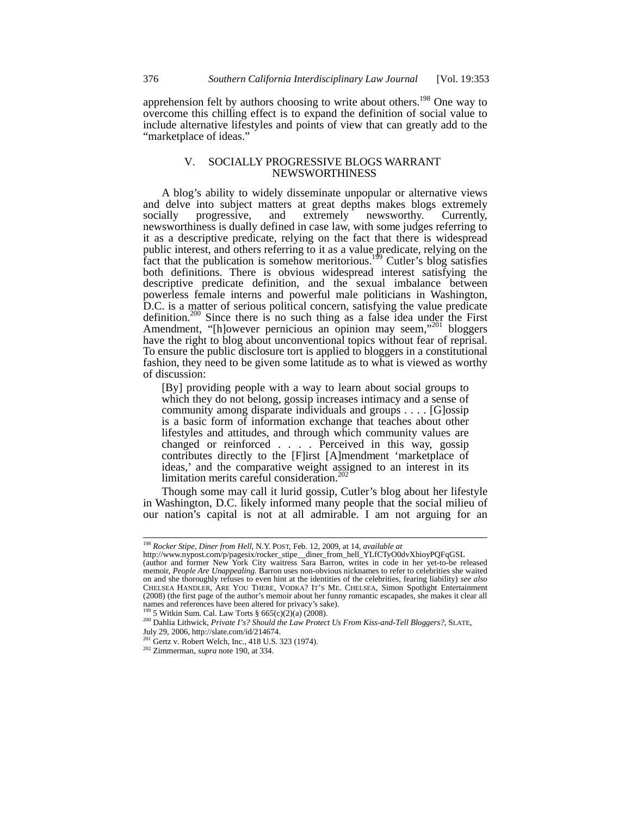apprehension felt by authors choosing to write about others.<sup>198</sup> One way to overcome this chilling effect is to expand the definition of social value to include alternative lifestyles and points of view that can greatly add to the "marketplace of ideas."

# V. SOCIALLY PROGRESSIVE BLOGS WARRANT NEWSWORTHINESS

A blog's ability to widely disseminate unpopular or alternative views and delve into subject matters at great depths makes blogs extremely socially progressive, and extremely newsworthy. Currently, newsworthiness is dually defined in case law, with some judges referring to it as a descriptive predicate, relying on the fact that there is widespread public interest, and others referring to it as a value predicate, relying on the fact that the publication is somehow meritorious.<sup>199</sup> Cutler's blog satisfies both definitions. There is obvious widespread interest satisfying the descriptive predicate definition, and the sexual imbalance between powerless female interns and powerful male politicians in Washington, D.C. is a matter of serious political concern, satisfying the value predicate definition.<sup>200</sup> Since there is no such thing as a false idea under the First Amendment, "[h]owever pernicious an opinion may seem,"<sup>201</sup> bloggers have the right to blog about unconventional topics without fear of reprisal. To ensure the public disclosure tort is applied to bloggers in a constitutional fashion, they need to be given some latitude as to what is viewed as worthy of discussion:

[By] providing people with a way to learn about social groups to which they do not belong, gossip increases intimacy and a sense of community among disparate individuals and groups . . . . [G]ossip is a basic form of information exchange that teaches about other lifestyles and attitudes, and through which community values are changed or reinforced . . . . Perceived in this way, gossip contributes directly to the [F]irst [A]mendment 'marketplace of ideas,' and the comparative weight assigned to an interest in its limitation merits careful consideration.<sup>202</sup>

Though some may call it lurid gossip, Cutler's blog about her lifestyle in Washington, D.C. likely informed many people that the social milieu of our nation's capital is not at all admirable. I am not arguing for an

<sup>198</sup> *Rocker Stipe, Diner from Hell*, N.Y. POST, Feb. 12, 2009, at 14, *available at*

http://www.nypost.com/p/pagesix/rocker\_stipe\_\_diner\_from\_hell\_YLfCTyO0dvXhioyPQFqGSL

<sup>(</sup>author and former New York City waitress Sara Barron, writes in code in her yet-to-be released memoir, *People Are Unappealing*. Barron uses non-obvious nicknames to refer to celebrities she waited on and she thoroughly refuses to even hint at the identities of the celebrities, fearing liability) *see also* CHELSEA HANDLER, ARE YOU THERE, VODKA? IT'S ME. CHELSEA, Simon Spotlight Entertainment (2008) (the first page of the author's memoir about her funny romantic escapades, she makes it clear all names and references have been altered for privacy's sake).

<sup>199</sup> 5 Witkin Sum. Cal. Law Torts § 665(c)(2)(a) (2008).

<sup>200</sup> Dahlia Lithwick, *Private I's? Should the Law Protect Us From Kiss-and-Tell Bloggers?*, SLATE, July 29, 2006, http://slate.com/id/214674.

<sup>201</sup> Gertz v. Robert Welch, Inc.*,* 418 U.S. 323 (1974).

<sup>202</sup> Zimmerman, *supra* note 190, at 334.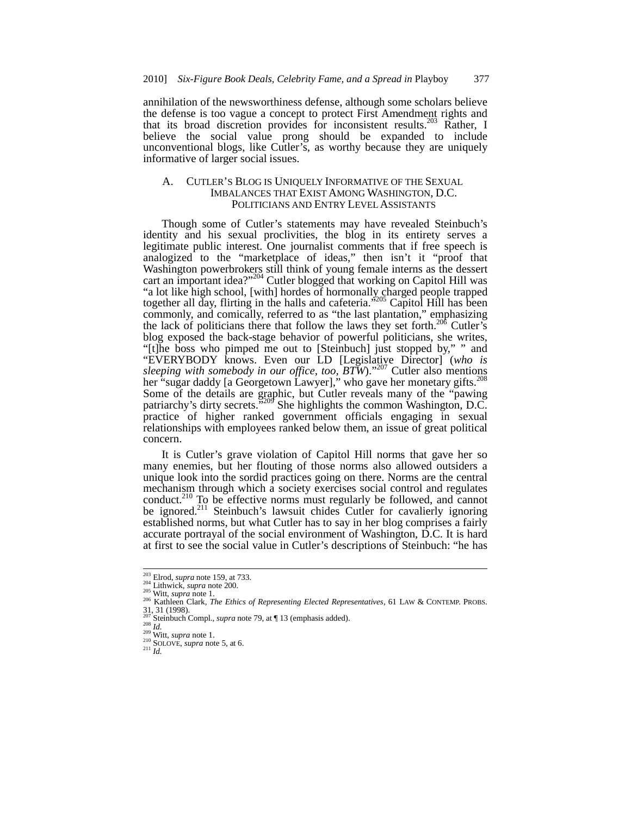annihilation of the newsworthiness defense, although some scholars believe the defense is too vague a concept to protect First Amendment rights and that its broad discretion provides for inconsistent results.<sup>203</sup> Rather, I believe the social value prong should be expanded to include unconventional blogs, like Cutler's, as worthy because they are uniquely informative of larger social issues.

# A. CUTLER'S BLOG IS UNIQUELY INFORMATIVE OF THE SEXUAL IMBALANCES THAT EXIST AMONG WASHINGTON, D.C. POLITICIANS AND ENTRY LEVEL ASSISTANTS

Though some of Cutler's statements may have revealed Steinbuch's identity and his sexual proclivities, the blog in its entirety serves a legitimate public interest. One journalist comments that if free speech is analogized to the "marketplace of ideas," then isn't it "proof that Washington powerbrokers still think of young female interns as the dessert cart an important idea?"<sup>204</sup> Cutler blogged that working on Capitol Hill was "a lot like high school, [with] hordes of hormonally charged people trapped together all day, flirting in the halls and cafeteria."<sup>205</sup> Capitol Hill has been<br>commonly and comisely commonly, and comically, referred to as "the last plantation," emphasizing the lack of politicians there that follow the laws they set forth.<sup>206</sup> Cutler's blog exposed the back-stage behavior of powerful politicians, she writes, "[t]he boss who pimped me out to [Steinbuch] just stopped by," " and "EVERYBODY knows. Even our LD [Legislative Director] (*who is sleeping with somebody in our office, too, BTW*)."<sup>207</sup> Cutler also mentions her "sugar daddy [a Georgetown Lawyer]," who gave her monetary gifts.<sup>20</sup> Some of the details are graphic, but Cutler reveals many of the "pawing patriarchy's dirty secrets."<sup>209</sup> She highlights the common Washington, D.C. practice of higher ranked government officials engaging in sexual relationships with employees ranked below them, an issue of great political concern.

It is Cutler's grave violation of Capitol Hill norms that gave her so many enemies, but her flouting of those norms also allowed outsiders a unique look into the sordid practices going on there. Norms are the central mechanism through which a society exercises social control and regulates conduct.<sup>210</sup> To be effective norms must regularly be followed, and cannot be ignored.<sup>211</sup> Steinbuch's lawsuit chides Cutler for cavalierly ignoring established norms, but what Cutler has to say in her blog comprises a fairly accurate portrayal of the social environment of Washington, D.C. It is hard at first to see the social value in Cutler's descriptions of Steinbuch: "he has

<sup>&</sup>lt;sup>203</sup> Elrod, *supra* note 159, at 733.<br>
<sup>204</sup> Lithwick, *supra* note 200.

<sup>205</sup> Witt, *supra* note 1.<br><sup>205</sup> Witt, *supra* note 1.<br><sup>206</sup> Kathleen Clark, *The Ethics of Representing Elected Representatives*, 61 LAW & CONTEMP. PROBS. <sup>207</sup> Steinbuch Compl., *supra* note 79, at ¶ 13 (emphasis added). <sup>208</sup> *Id.* <sup>209</sup> Witt, *supra* note 1. <sup>210</sup> SOLOVE, *supra* note 5, at 6. 211 *Id.*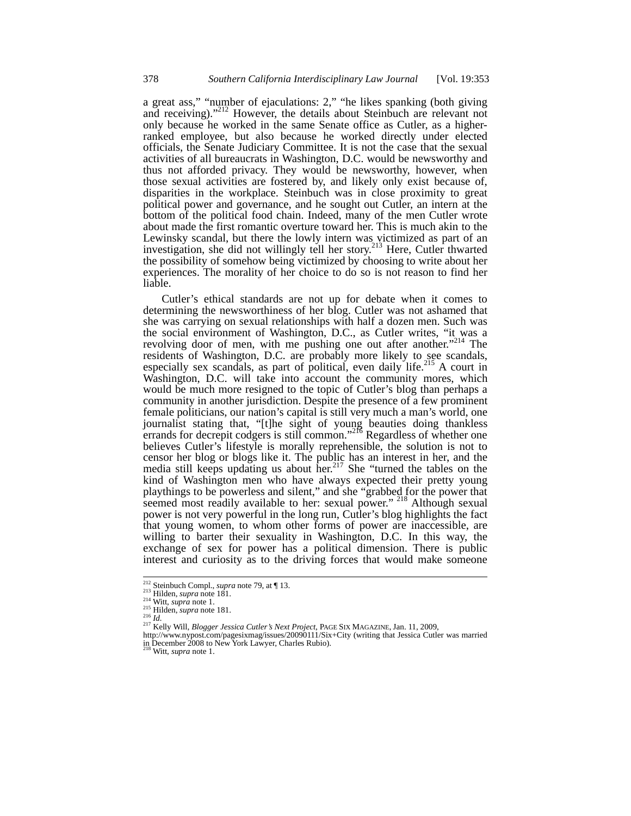a great ass," "number of ejaculations: 2," "he likes spanking (both giving and receiving)."212 However, the details about Steinbuch are relevant not only because he worked in the same Senate office as Cutler, as a higherranked employee, but also because he worked directly under elected officials, the Senate Judiciary Committee. It is not the case that the sexual activities of all bureaucrats in Washington, D.C. would be newsworthy and thus not afforded privacy. They would be newsworthy, however, when those sexual activities are fostered by, and likely only exist because of, disparities in the workplace. Steinbuch was in close proximity to great political power and governance, and he sought out Cutler, an intern at the bottom of the political food chain. Indeed, many of the men Cutler wrote about made the first romantic overture toward her. This is much akin to the Lewinsky scandal, but there the lowly intern was victimized as part of an investigation, she did not willingly tell her story.<sup>213</sup> Here, Cutler thwarted the possibility of somehow being victimized by choosing to write about her experiences. The morality of her choice to do so is not reason to find her liable.

Cutler's ethical standards are not up for debate when it comes to determining the newsworthiness of her blog. Cutler was not ashamed that she was carrying on sexual relationships with half a dozen men. Such was the social environment of Washington, D.C., as Cutler writes, "it was a revolving door of men, with me pushing one out after another."<sup>214</sup> The residents of Washington, D.C. are probably more likely to see scandals, especially sex scandals, as part of political, even daily life.<sup>215</sup> A court in Washington, D.C. will take into account the community mores, which would be much more resigned to the topic of Cutler's blog than perhaps a community in another jurisdiction. Despite the presence of a few prominent female politicians, our nation's capital is still very much a man's world, one journalist stating that, "[t]he sight of young beauties doing thankless errands for decrepit codgers is still common."<sup>216</sup> Regardless of whether one believes Cutler's lifestyle is morally reprehensible, the solution is not to censor her blog or blogs like it. The public has an interest in her, and the media still keeps updating us about her.<sup>217</sup> She "turned the tables on the kind of Washington men who have always expected their pretty young playthings to be powerless and silent," and she "grabbed for the power that seemed most readily available to her: sexual power."<sup>218</sup> Although sexual power is not very powerful in the long run, Cutler's blog highlights the fact that young women, to whom other forms of power are inaccessible, are willing to barter their sexuality in Washington, D.C. In this way, the exchange of sex for power has a political dimension. There is public interest and curiosity as to the driving forces that would make someone

<sup>&</sup>lt;sup>212</sup> Steinbuch Compl., *supra* note 79, at ¶ 13.

<sup>&</sup>lt;sup>212</sup> Steinbuch Compl., *supra* note 79, at ¶ 13.<br><sup>213</sup> Hilden, *supra* note 181.<br><sup>214</sup> Witt, *supra* note 1.<br><sup>215</sup> Hilden, *supra* note 181.<br><sup>215</sup> Id.<br><sup>217</sup> Kelly Will, *Blogger Jessica Cutler's Next Project*, PAGE SIX MA

in December 2008 to New York Lawyer, Charles Rubio). <sup>218</sup> Witt, *supra* note 1.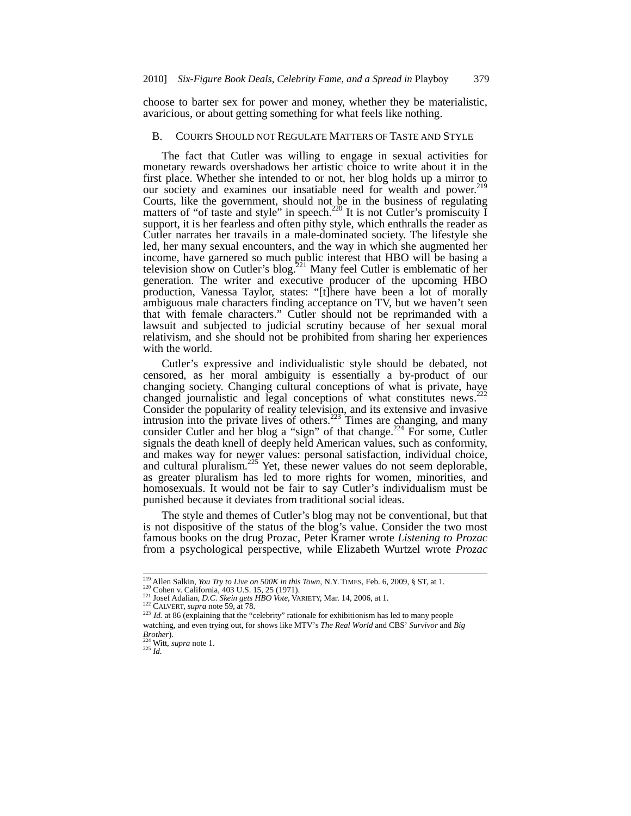choose to barter sex for power and money, whether they be materialistic, avaricious, or about getting something for what feels like nothing.

# B. COURTS SHOULD NOT REGULATE MATTERS OF TASTE AND STYLE

The fact that Cutler was willing to engage in sexual activities for monetary rewards overshadows her artistic choice to write about it in the first place. Whether she intended to or not, her blog holds up a mirror to our society and examines our insatiable need for wealth and power.<sup>219</sup> Courts, like the government, should not be in the business of regulating matters of "of taste and style" in speech.<sup>220</sup> It is not Cutler's promiscuity  $\tilde{I}$ support, it is her fearless and often pithy style, which enthralls the reader as Cutler narrates her travails in a male-dominated society. The lifestyle she led, her many sexual encounters, and the way in which she augmented her income, have garnered so much public interest that HBO will be basing a television show on Cutler's blog.221 Many feel Cutler is emblematic of her generation. The writer and executive producer of the upcoming HBO production, Vanessa Taylor, states: "[t]here have been a lot of morally ambiguous male characters finding acceptance on TV, but we haven't seen that with female characters." Cutler should not be reprimanded with a lawsuit and subjected to judicial scrutiny because of her sexual moral relativism, and she should not be prohibited from sharing her experiences with the world.

Cutler's expressive and individualistic style should be debated, not censored, as her moral ambiguity is essentially a by-product of our censored, as her moral amorgany is conceptions of what is private, have<br>changing society. Changing cultural conceptions of what is private, have changed journalistic and legal conceptions of what constitutes news.<sup>2</sup> Consider the popularity of reality television, and its extensive and invasive intrusion into the private lives of others.<sup>223</sup> Times are changing, and many consider Cutler and her blog a "sign" of that change.<sup>224</sup> For some, Cutler signals the death knell of deeply held American values, such as conformity, and makes way for newer values: personal satisfaction, individual choice, and cultural pluralism. $^{225}$  Yet, these newer values do not seem deplorable, as greater pluralism has led to more rights for women, minorities, and homosexuals. It would not be fair to say Cutler's individualism must be punished because it deviates from traditional social ideas.

The style and themes of Cutler's blog may not be conventional, but that is not dispositive of the status of the blog's value. Consider the two most famous books on the drug Prozac, Peter Kramer wrote *Listening to Prozac*  from a psychological perspective, while Elizabeth Wurtzel wrote *Prozac* 

<sup>&</sup>lt;sup>219</sup> Allen Salkin, You Try to Live on 500K in this Town, N.Y. TIMES, Feb. 6, 2009, § ST, at 1.

<sup>220</sup> Cohen v. California, 403 U.S. 15, 25 (1971).<br>
<sup>221</sup> Josef Adalian, *D.C. Skein gets HBO Vote*, VARIETY, Mar. 14, 2006, at 1.<br>
<sup>222</sup> CALVERT, *supra* note 59, at 78.<br>
<sup>223</sup> Id. at 86 (explaining that the "celebrity" ra watching, and even trying out, for shows like MTV's *The Real World* and CBS' *Survivor* and *Big* 

*Brother*). <sup>224</sup> Witt, *supra* note 1. <sup>225</sup> *Id.*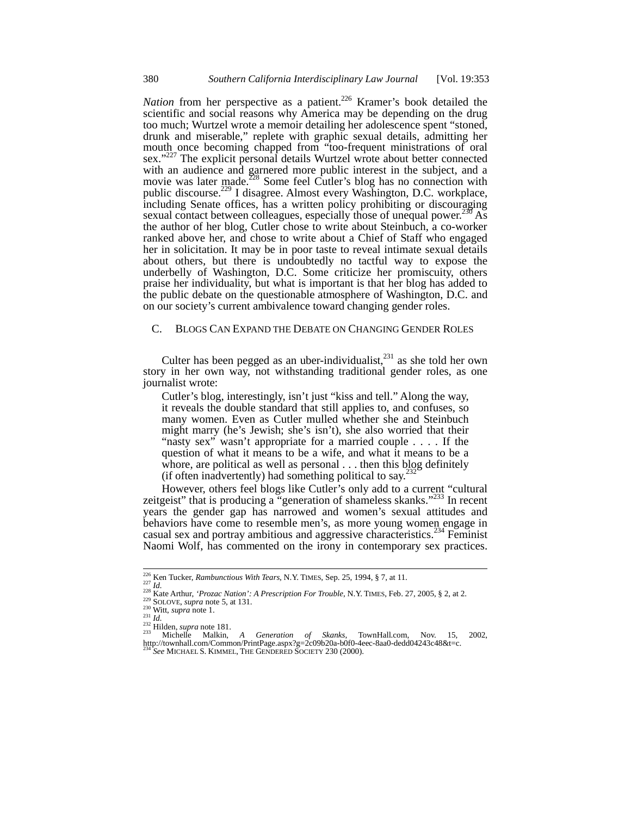*Nation* from her perspective as a patient.<sup>226</sup> Kramer's book detailed the scientific and social reasons why America may be depending on the drug too much; Wurtzel wrote a memoir detailing her adolescence spent "stoned, drunk and miserable," replete with graphic sexual details, admitting her mouth once becoming chapped from "too-frequent ministrations of oral sex."<sup>227</sup> The explicit personal details Wurtzel wrote about better connected with an audience and garnered more public interest in the subject, and a movie was later made. $^{228}$  Some feel Cutler's blog has no connection with public discourse.<sup>229</sup> I disagree. Almost every Washington, D.C. workplace, including Senate offices, has a written policy prohibiting or discouraging sexual contact between colleagues, especially those of unequal power.<sup>230</sup> As the author of her blog, Cutler chose to write about Steinbuch, a co-worker ranked above her, and chose to write about a Chief of Staff who engaged her in solicitation. It may be in poor taste to reveal intimate sexual details about others, but there is undoubtedly no tactful way to expose the underbelly of Washington, D.C. Some criticize her promiscuity, others praise her individuality, but what is important is that her blog has added to the public debate on the questionable atmosphere of Washington, D.C. and on our society's current ambivalence toward changing gender roles.

# C. BLOGS CAN EXPAND THE DEBATE ON CHANGING GENDER ROLES

Culter has been pegged as an uber-individualist, $^{231}$  as she told her own story in her own way, not withstanding traditional gender roles, as one journalist wrote:

Cutler's blog, interestingly, isn't just "kiss and tell." Along the way, it reveals the double standard that still applies to, and confuses, so many women. Even as Cutler mulled whether she and Steinbuch might marry (he's Jewish; she's isn't), she also worried that their "nasty sex" wasn't appropriate for a married couple . . . . If the question of what it means to be a wife, and what it means to be a whore, are political as well as personal . . . then this blog definitely (if often inadvertently) had something political to say.<sup>2</sup>

However, others feel blogs like Cutler's only add to a current "cultural zeitgeist" that is producing a "generation of shameless skanks."<sup>233</sup> In recent years the gender gap has narrowed and women's sexual attitudes and behaviors have come to resemble men's, as more young women engage in casual sex and portray ambitious and aggressive characteristics.<sup>234</sup> Feminist Naomi Wolf, has commented on the irony in contemporary sex practices.

<sup>&</sup>lt;sup>226</sup> Ken Tucker, *Rambunctious With Tears*, N.Y. TIMES, Sep. 25, 1994, § 7, at 11.

<sup>&</sup>lt;sup>227</sup> *Id.*<br>
<sup>228</sup> Kate Arthur, '*Prozac Nation'*: *A Prescription For Trouble*, N.Y. TIMES, Feb. 27, 2005, § 2, at 2.<br>
<sup>239</sup> SOLOVE, *supra* note 5, at 131.<br>
<sup>230</sup> Witt, *supra* note 1.<br>
<sup>230</sup> *Id.*<br>
<sup>232</sup> Hilden, *supra* http://townhall.com/Common/PrintPage.aspx?g=2c09b20a-b0f0-4eec-8aa0-dedd04243c48&t=c. <sup>234</sup> *See* MICHAEL S. KIMMEL, THE GENDERED SOCIETY 230 (2000).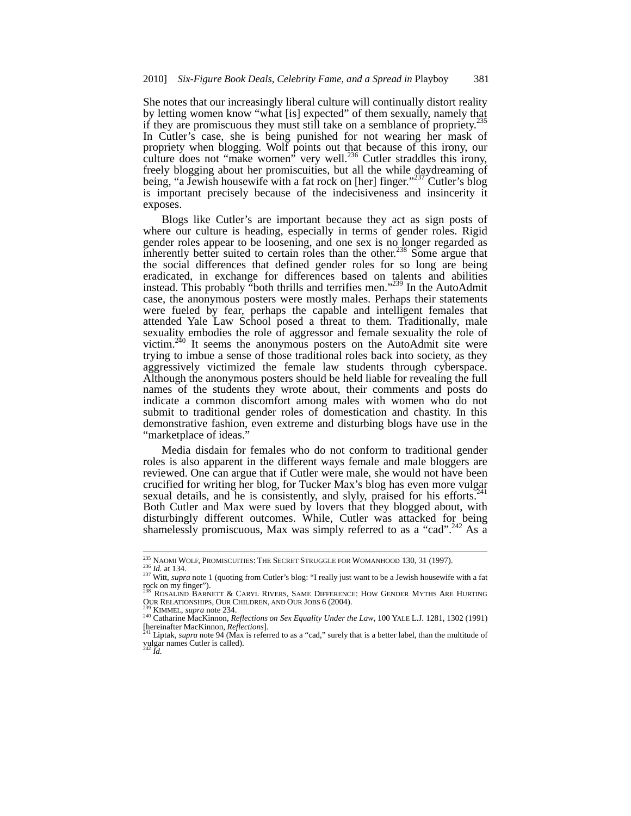She notes that our increasingly liberal culture will continually distort reality by letting women know "what [is] expected" of them sexually, namely that if they are promiscuous they must still take on a semblance of propriety.<sup>235</sup> In Cutler's case, she is being punished for not wearing her mask of propriety when blogging. Wolf points out that because of this irony, our culture does not "make women" very well.<sup>236</sup> Cutler straddles this irony, freely blogging about her promiscuities, but all the while daydreaming of being, "a Jewish housewife with a fat rock on [her] finger."<sup>237</sup> Cutler's blog is important precisely because of the indecisiveness and insincerity it exposes.

Blogs like Cutler's are important because they act as sign posts of where our culture is heading, especially in terms of gender roles. Rigid gender roles appear to be loosening, and one sex is no longer regarded as inherently better suited to certain roles than the other.<sup>238</sup> Some argue that the social differences that defined gender roles for so long are being eradicated, in exchange for differences based on talents and abilities instead. This probably "both thrills and terrifies men."<sup>239</sup> In the AutoAdmit case, the anonymous posters were mostly males. Perhaps their statements were fueled by fear, perhaps the capable and intelligent females that attended Yale Law School posed a threat to them. Traditionally, male sexuality embodies the role of aggressor and female sexuality the role of victim.<sup>240</sup> It seems the anonymous posters on the AutoAdmit site were trying to imbue a sense of those traditional roles back into society, as they aggressively victimized the female law students through cyberspace. Although the anonymous posters should be held liable for revealing the full names of the students they wrote about, their comments and posts do indicate a common discomfort among males with women who do not submit to traditional gender roles of domestication and chastity. In this demonstrative fashion, even extreme and disturbing blogs have use in the "marketplace of ideas."

Media disdain for females who do not conform to traditional gender roles is also apparent in the different ways female and male bloggers are reviewed. One can argue that if Cutler were male, she would not have been crucified for writing her blog, for Tucker Max's blog has even more vulgar sexual details, and he is consistently, and slyly, praised for his efforts.<sup>241</sup> Both Cutler and Max were sued by lovers that they blogged about, with disturbingly different outcomes. While, Cutler was attacked for being shamelessly promiscuous, Max was simply referred to as a "cad".<sup>242</sup> As a

<sup>&</sup>lt;sup>235</sup> NAOMI WOLF, PROMISCUITIES: THE SECRET STRUGGLE FOR WOMANHOOD 130, 31 (1997).

<sup>&</sup>lt;sup>235</sup> NAOMI WOLF, PROMISCUITIES: THE SECRET STRUGGLE FOR WOMANHOOD 130, 31 (1997).<br><sup>236</sup> Id. at 134.<br><sup>237</sup> Witt, *supra* note 1 (quoting from Cutler's blog: "I really just want to be a Jewish housewife with a fat rock on m

<sup>&</sup>lt;sup>238</sup> ROSALIND BARNETT & CARYL RIVERS, SAME DIFFERENCE: HOW GENDER MYTHS ARE HURTING  $Q_0$ ur RELATIONSHIPS, OUR CHILDREN, AND OUR JOBS 6 (2004).

<sup>&</sup>lt;sup>239</sup> KIMMEL, *supra* note 234.<br><sup>240</sup> Catharine MacKinnon, *Reflections on Sex Equality Under the Law*, 100 YALE L.J. 1281, 1302 (1991)<br>[hereinafter MacKinnon, *Reflections*].<br><sup>241</sup> Little support of the Law by the Law and

Liptak, *supra* note 94 (Max is referred to as a "cad," surely that is a better label, than the multitude of vulgar names Cutler is called). <sup>242</sup> *Id.*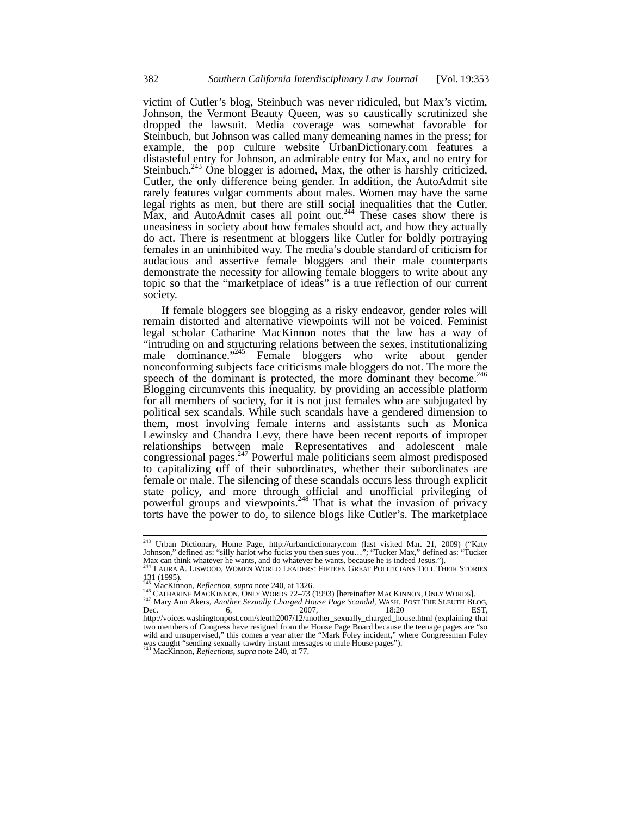victim of Cutler's blog, Steinbuch was never ridiculed, but Max's victim, Johnson, the Vermont Beauty Queen, was so caustically scrutinized she dropped the lawsuit. Media coverage was somewhat favorable for Steinbuch, but Johnson was called many demeaning names in the press; for example, the pop culture website UrbanDictionary.com features a distasteful entry for Johnson, an admirable entry for Max, and no entry for Steinbuch. $243$  One blogger is adorned, Max, the other is harshly criticized, Cutler, the only difference being gender. In addition, the AutoAdmit site rarely features vulgar comments about males. Women may have the same legal rights as men, but there are still social inequalities that the Cutler, Max, and AutoAdmit cases all point out.<sup>244</sup> These cases show there is uneasiness in society about how females should act, and how they actually do act. There is resentment at bloggers like Cutler for boldly portraying females in an uninhibited way. The media's double standard of criticism for audacious and assertive female bloggers and their male counterparts demonstrate the necessity for allowing female bloggers to write about any topic so that the "marketplace of ideas" is a true reflection of our current society.

If female bloggers see blogging as a risky endeavor, gender roles will remain distorted and alternative viewpoints will not be voiced. Feminist legal scholar Catharine MacKinnon notes that the law has a way of "intruding on and structuring relations between the sexes, institutionalizing male dominance."<sup>245</sup> Female bloggers who write about gender nonconforming subjects face criticisms male bloggers do not. The more the speech of the dominant is protected, the more dominant they become.  $246$ Blogging circumvents this inequality, by providing an accessible platform for all members of society, for it is not just females who are subjugated by political sex scandals. While such scandals have a gendered dimension to them, most involving female interns and assistants such as Monica Lewinsky and Chandra Levy, there have been recent reports of improper relationships between male Representatives and adolescent male congressional pages.247 Powerful male politicians seem almost predisposed to capitalizing off of their subordinates, whether their subordinates are female or male. The silencing of these scandals occurs less through explicit state policy, and more through official and unofficial privileging of powerful groups and viewpoints.<sup>248</sup> That is what the invasion of privacy torts have the power to do, to silence blogs like Cutler's. The marketplace

 $\overline{a}$ 

<sup>&</sup>lt;sup>243</sup> Urban Dictionary, Home Page, http://urbandictionary.com (last visited Mar. 21, 2009) ("Katy Johnson," defined as: "silly harlot who fucks you then sues you…"; "Tucker Max," defined as: "Tucker Max can think whatever he wants, and do whatever he wants, because he is indeed Jesus.").<br><sup>244</sup> LAURA A. LISWOOD, WOMEN WORLD LEADERS: FIFTEEN GREAT POLITICIANS TELL THEIR STORIES

<sup>131 (1995).&</sup>lt;br><sup>245</sup> MacKinnon, *Reflection*, *supra* note 240, at 1326.

<sup>&</sup>lt;sup>246</sup> CATHARINE MACKINNON, ONLY WORDS 72–73 (1993) [hereinafter MACKINNON, ONLY WORDS].<br><sup>247</sup> Mary Ann Akers, *Another Sexually Charged House Page Scandal*, WASH. POST THE SLEUTH BLOG,<br>6, 2007, 18:20 http://voices.washingtonpost.com/sleuth2007/12/another\_sexually\_charged\_house.html (explaining that two members of Congress have resigned from the House Page Board because the teenage pages are "so wild and unsupervised," this comes a year after the "Mark Foley incident," where Congressman Foley was caught "sending sexually tawdry instant messages to male House pages"). <sup>248</sup> MacKinnon, *Reflections, supra* note 240, at 77.